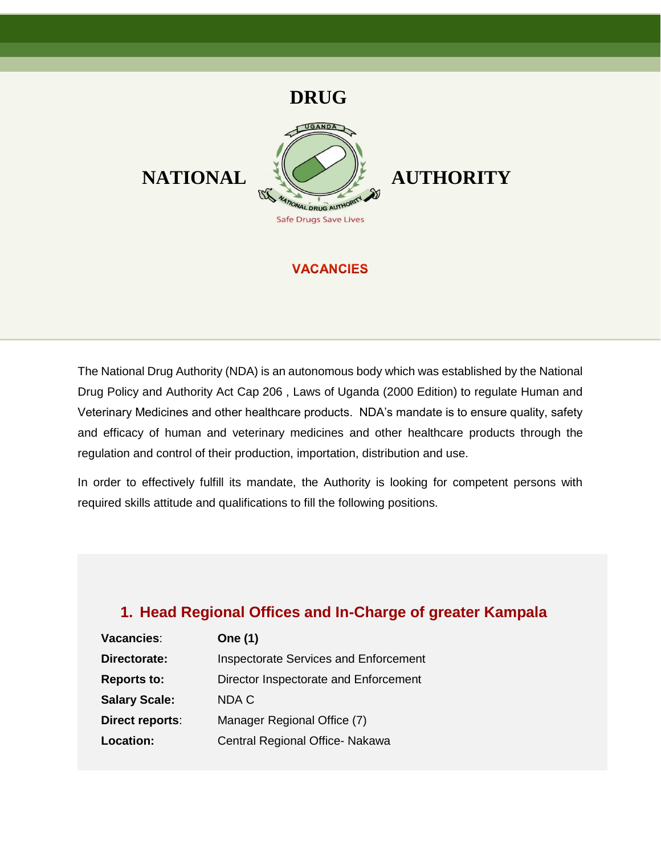

### **VACANCIES**

The National Drug Authority (NDA) is an autonomous body which was established by the National Drug Policy and Authority Act Cap 206 , Laws of Uganda (2000 Edition) to regulate Human and Veterinary Medicines and other healthcare products. NDA's mandate is to ensure quality, safety and efficacy of human and veterinary medicines and other healthcare products through the regulation and control of their production, importation, distribution and use.

In order to effectively fulfill its mandate, the Authority is looking for competent persons with required skills attitude and qualifications to fill the following positions.

# **1. Head Regional Offices and In-Charge of greater Kampala**

| Vacancies:           | <b>One (1)</b>                        |
|----------------------|---------------------------------------|
| Directorate:         | Inspectorate Services and Enforcement |
| <b>Reports to:</b>   | Director Inspectorate and Enforcement |
| <b>Salary Scale:</b> | NDA C                                 |
| Direct reports:      | Manager Regional Office (7)           |
| Location:            | Central Regional Office- Nakawa       |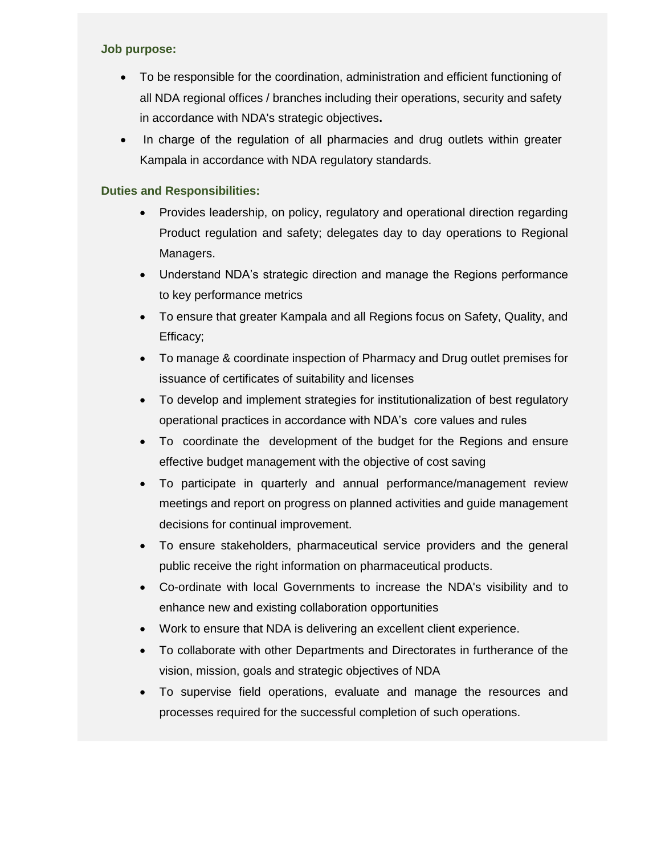#### **Job purpose:**

- To be responsible for the coordination, administration and efficient functioning of all NDA regional offices / branches including their operations, security and safety in accordance with NDA's strategic objectives**.**
- In charge of the regulation of all pharmacies and drug outlets within greater Kampala in accordance with NDA regulatory standards.

- Provides leadership, on policy, regulatory and operational direction regarding Product regulation and safety; delegates day to day operations to Regional Managers.
- Understand NDA's strategic direction and manage the Regions performance to key performance metrics
- To ensure that greater Kampala and all Regions focus on Safety, Quality, and Efficacy;
- To manage & coordinate inspection of Pharmacy and Drug outlet premises for issuance of certificates of suitability and licenses
- To develop and implement strategies for institutionalization of best regulatory operational practices in accordance with NDA's core values and rules
- To coordinate the development of the budget for the Regions and ensure effective budget management with the objective of cost saving
- To participate in quarterly and annual performance/management review meetings and report on progress on planned activities and guide management decisions for continual improvement.
- To ensure stakeholders, pharmaceutical service providers and the general public receive the right information on pharmaceutical products.
- Co-ordinate with local Governments to increase the NDA's visibility and to enhance new and existing collaboration opportunities
- Work to ensure that NDA is delivering an excellent client experience.
- To collaborate with other Departments and Directorates in furtherance of the vision, mission, goals and strategic objectives of NDA
- To supervise field operations, evaluate and manage the resources and processes required for the successful completion of such operations.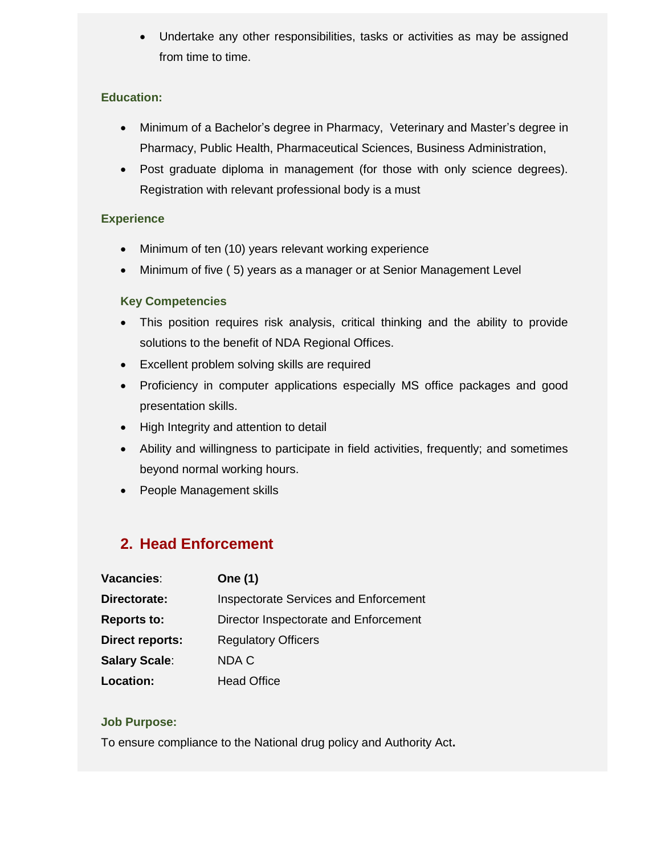Undertake any other responsibilities, tasks or activities as may be assigned from time to time.

### **Education:**

- Minimum of a Bachelor's degree in Pharmacy, Veterinary and Master's degree in Pharmacy, Public Health, Pharmaceutical Sciences, Business Administration,
- Post graduate diploma in management (for those with only science degrees). Registration with relevant professional body is a must

### **Experience**

- Minimum of ten (10) years relevant working experience
- Minimum of five (5) years as a manager or at Senior Management Level

### **Key Competencies**

- This position requires risk analysis, critical thinking and the ability to provide solutions to the benefit of NDA Regional Offices.
- Excellent problem solving skills are required
- Proficiency in computer applications especially MS office packages and good presentation skills.
- High Integrity and attention to detail
- Ability and willingness to participate in field activities, frequently; and sometimes beyond normal working hours.
- People Management skills

# **2. Head Enforcement**

| Vacancies:             | <b>One (1)</b>                        |
|------------------------|---------------------------------------|
| Directorate:           | Inspectorate Services and Enforcement |
| <b>Reports to:</b>     | Director Inspectorate and Enforcement |
| <b>Direct reports:</b> | <b>Regulatory Officers</b>            |
| <b>Salary Scale:</b>   | NDA C                                 |
| Location:              | <b>Head Office</b>                    |

### **Job Purpose:**

To ensure compliance to the National drug policy and Authority Act**.**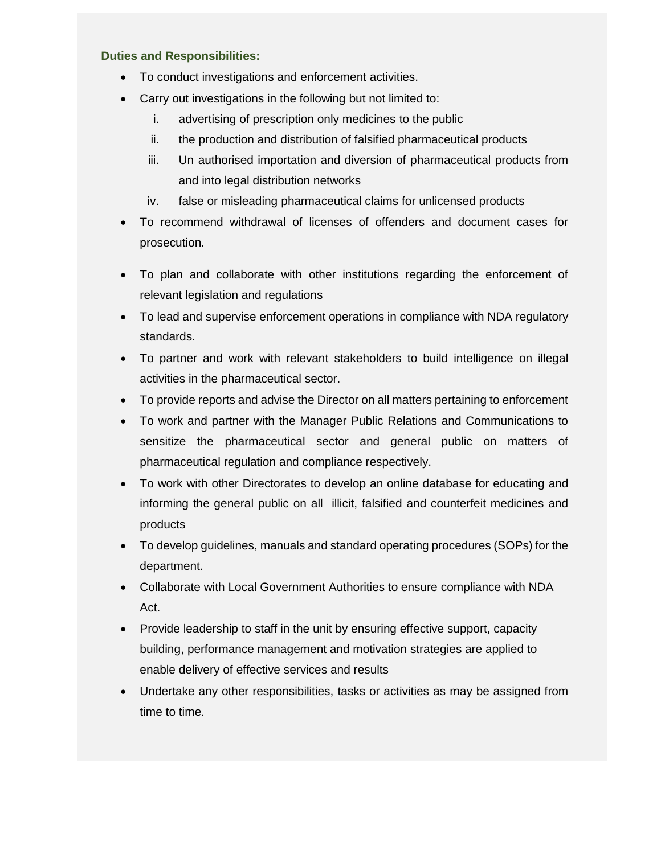- To conduct investigations and enforcement activities.
- Carry out investigations in the following but not limited to:
	- i. advertising of prescription only medicines to the public
	- ii. the production and distribution of falsified pharmaceutical products
	- iii. Un authorised importation and diversion of pharmaceutical products from and into legal distribution networks
	- iv. false or misleading pharmaceutical claims for unlicensed products
- To recommend withdrawal of licenses of offenders and document cases for prosecution.
- To plan and collaborate with other institutions regarding the enforcement of relevant legislation and regulations
- To lead and supervise enforcement operations in compliance with NDA regulatory standards.
- To partner and work with relevant stakeholders to build intelligence on illegal activities in the pharmaceutical sector.
- To provide reports and advise the Director on all matters pertaining to enforcement
- To work and partner with the Manager Public Relations and Communications to sensitize the pharmaceutical sector and general public on matters of pharmaceutical regulation and compliance respectively.
- To work with other Directorates to develop an online database for educating and informing the general public on all illicit, falsified and counterfeit medicines and products
- To develop guidelines, manuals and standard operating procedures (SOPs) for the department.
- Collaborate with Local Government Authorities to ensure compliance with NDA Act.
- Provide leadership to staff in the unit by ensuring effective support, capacity building, performance management and motivation strategies are applied to enable delivery of effective services and results
- Undertake any other responsibilities, tasks or activities as may be assigned from time to time.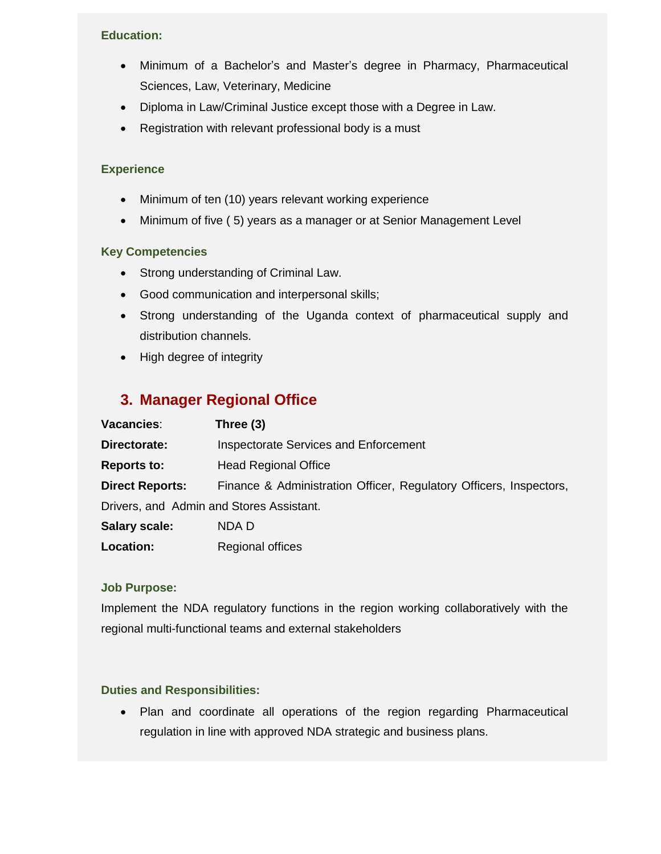- Minimum of a Bachelor's and Master's degree in Pharmacy, Pharmaceutical Sciences, Law, Veterinary, Medicine
- Diploma in Law/Criminal Justice except those with a Degree in Law.
- Registration with relevant professional body is a must

### **Experience**

- Minimum of ten (10) years relevant working experience
- Minimum of five (5) years as a manager or at Senior Management Level

### **Key Competencies**

- Strong understanding of Criminal Law.
- Good communication and interpersonal skills;
- Strong understanding of the Uganda context of pharmaceutical supply and distribution channels.
- High degree of integrity

# **3. Manager Regional Office**

| Vacancies:                               | Three $(3)$                                                        |  |
|------------------------------------------|--------------------------------------------------------------------|--|
| Directorate:                             | Inspectorate Services and Enforcement                              |  |
| <b>Reports to:</b>                       | <b>Head Regional Office</b>                                        |  |
| <b>Direct Reports:</b>                   | Finance & Administration Officer, Regulatory Officers, Inspectors, |  |
| Drivers, and Admin and Stores Assistant. |                                                                    |  |
| <b>Salary scale:</b>                     | NDA D                                                              |  |
| Location:                                | <b>Regional offices</b>                                            |  |

### **Job Purpose:**

Implement the NDA regulatory functions in the region working collaboratively with the regional multi-functional teams and external stakeholders

### **Duties and Responsibilities:**

 Plan and coordinate all operations of the region regarding Pharmaceutical regulation in line with approved NDA strategic and business plans.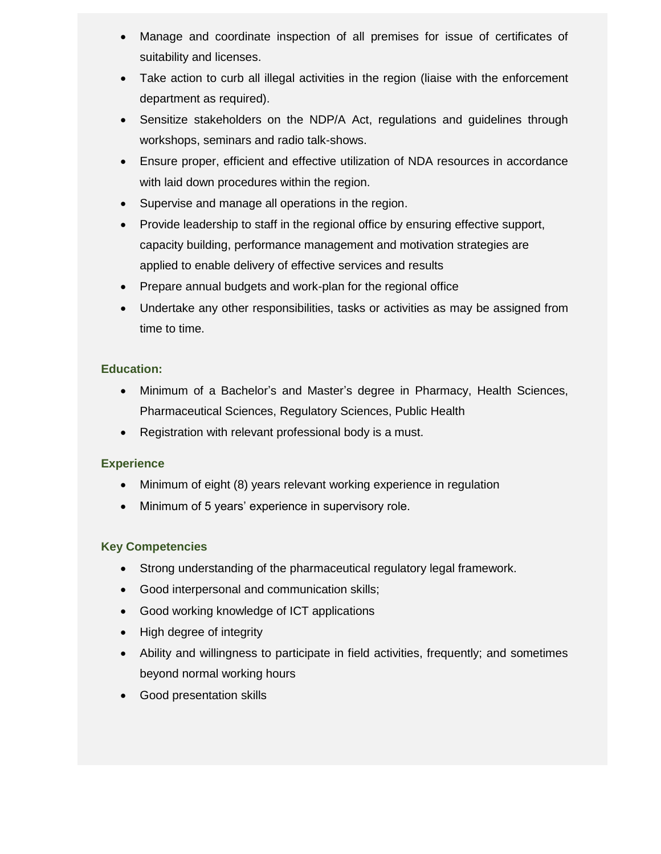- Manage and coordinate inspection of all premises for issue of certificates of suitability and licenses.
- Take action to curb all illegal activities in the region (liaise with the enforcement department as required).
- Sensitize stakeholders on the NDP/A Act, regulations and guidelines through workshops, seminars and radio talk-shows.
- Ensure proper, efficient and effective utilization of NDA resources in accordance with laid down procedures within the region.
- Supervise and manage all operations in the region.
- Provide leadership to staff in the regional office by ensuring effective support, capacity building, performance management and motivation strategies are applied to enable delivery of effective services and results
- Prepare annual budgets and work-plan for the regional office
- Undertake any other responsibilities, tasks or activities as may be assigned from time to time.

- Minimum of a Bachelor's and Master's degree in Pharmacy, Health Sciences, Pharmaceutical Sciences, Regulatory Sciences, Public Health
- Registration with relevant professional body is a must.

### **Experience**

- Minimum of eight (8) years relevant working experience in regulation
- Minimum of 5 years' experience in supervisory role.

### **Key Competencies**

- Strong understanding of the pharmaceutical regulatory legal framework.
- Good interpersonal and communication skills;
- Good working knowledge of ICT applications
- High degree of integrity
- Ability and willingness to participate in field activities, frequently; and sometimes beyond normal working hours
- Good presentation skills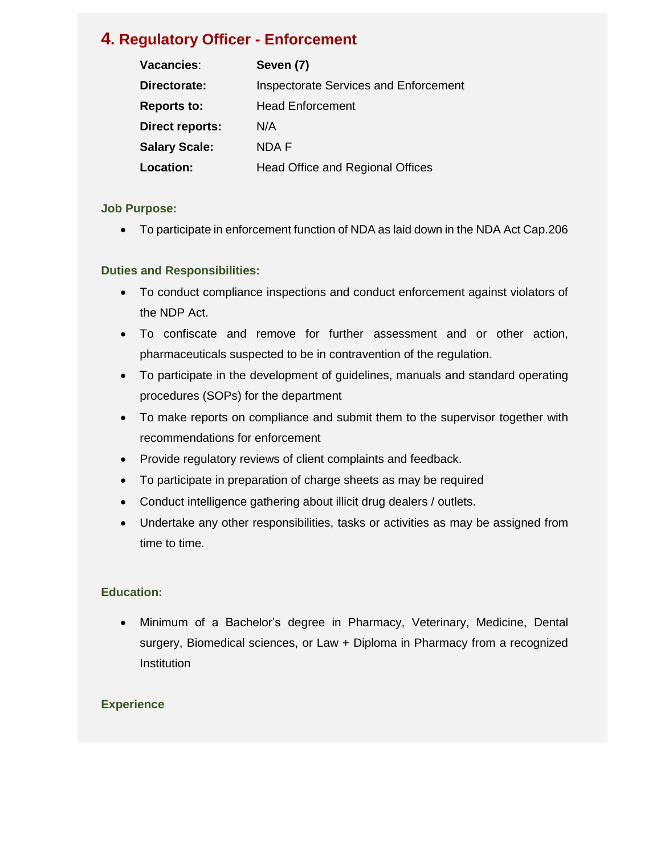# **4. Regulatory Officer - Enforcement**

| Vacancies:           | Seven (7)                                    |
|----------------------|----------------------------------------------|
| Directorate:         | <b>Inspectorate Services and Enforcement</b> |
| <b>Reports to:</b>   | <b>Head Enforcement</b>                      |
| Direct reports:      | N/A                                          |
| <b>Salary Scale:</b> | <b>NDAF</b>                                  |
| <b>Location:</b>     | <b>Head Office and Regional Offices</b>      |

### **Job Purpose:**

To participate in enforcement function of NDA as laid down in the NDA Act Cap.206

### **Duties and Responsibilities:**

- To conduct compliance inspections and conduct enforcement against violators of the NDP Act.
- To confiscate and remove for further assessment and or other action, pharmaceuticals suspected to be in contravention of the regulation.
- To participate in the development of guidelines, manuals and standard operating procedures (SOPs) for the department
- To make reports on compliance and submit them to the supervisor together with recommendations for enforcement
- Provide regulatory reviews of client complaints and feedback.
- To participate in preparation of charge sheets as may be required
- Conduct intelligence gathering about illicit drug dealers / outlets.
- Undertake any other responsibilities, tasks or activities as may be assigned from time to time.

### **Education:**

 Minimum of a Bachelor's degree in Pharmacy, Veterinary, Medicine, Dental surgery, Biomedical sciences, or Law + Diploma in Pharmacy from a recognized Institution

### **Experience**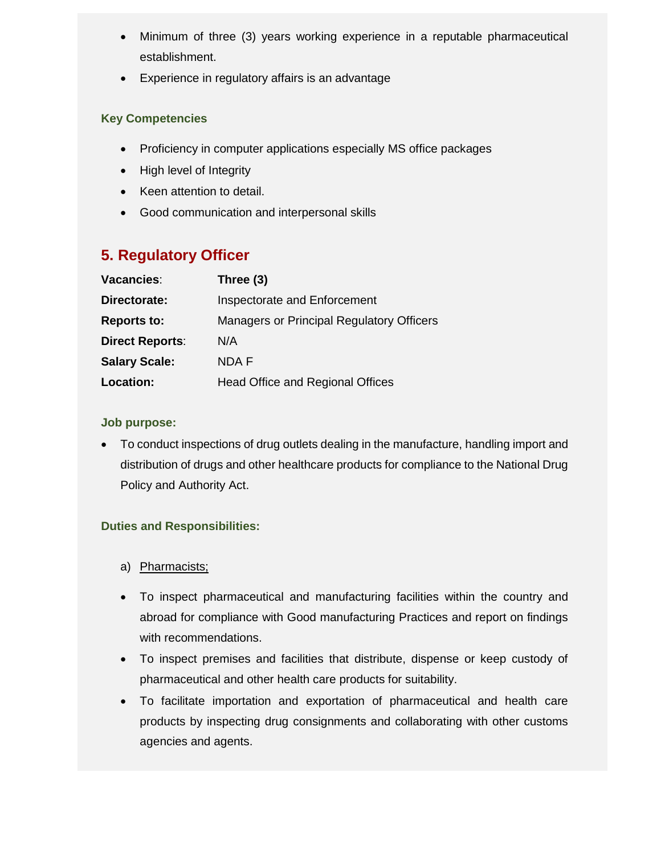- Minimum of three (3) years working experience in a reputable pharmaceutical establishment.
- Experience in regulatory affairs is an advantage

### **Key Competencies**

- Proficiency in computer applications especially MS office packages
- High level of Integrity
- Keen attention to detail.
- Good communication and interpersonal skills

# **5. Regulatory Officer**

| Vacancies:             | Three (3)                                        |
|------------------------|--------------------------------------------------|
| Directorate:           | Inspectorate and Enforcement                     |
| <b>Reports to:</b>     | <b>Managers or Principal Regulatory Officers</b> |
| <b>Direct Reports:</b> | N/A                                              |
| <b>Salary Scale:</b>   | NDA F                                            |
| <b>Location:</b>       | <b>Head Office and Regional Offices</b>          |

### **Job purpose:**

 To conduct inspections of drug outlets dealing in the manufacture, handling import and distribution of drugs and other healthcare products for compliance to the National Drug Policy and Authority Act.

- a) Pharmacists;
- To inspect pharmaceutical and manufacturing facilities within the country and abroad for compliance with Good manufacturing Practices and report on findings with recommendations.
- To inspect premises and facilities that distribute, dispense or keep custody of pharmaceutical and other health care products for suitability.
- To facilitate importation and exportation of pharmaceutical and health care products by inspecting drug consignments and collaborating with other customs agencies and agents.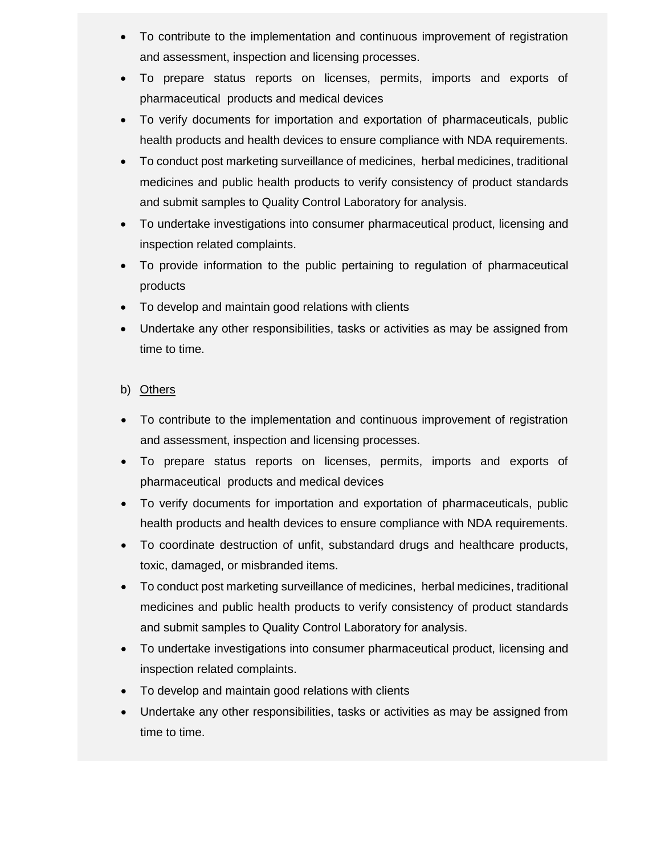- To contribute to the implementation and continuous improvement of registration and assessment, inspection and licensing processes.
- To prepare status reports on licenses, permits, imports and exports of pharmaceutical products and medical devices
- To verify documents for importation and exportation of pharmaceuticals, public health products and health devices to ensure compliance with NDA requirements.
- To conduct post marketing surveillance of medicines, herbal medicines, traditional medicines and public health products to verify consistency of product standards and submit samples to Quality Control Laboratory for analysis.
- To undertake investigations into consumer pharmaceutical product, licensing and inspection related complaints.
- To provide information to the public pertaining to regulation of pharmaceutical products
- To develop and maintain good relations with clients
- Undertake any other responsibilities, tasks or activities as may be assigned from time to time.

### b) Others

- To contribute to the implementation and continuous improvement of registration and assessment, inspection and licensing processes.
- To prepare status reports on licenses, permits, imports and exports of pharmaceutical products and medical devices
- To verify documents for importation and exportation of pharmaceuticals, public health products and health devices to ensure compliance with NDA requirements.
- To coordinate destruction of unfit, substandard drugs and healthcare products, toxic, damaged, or misbranded items.
- To conduct post marketing surveillance of medicines, herbal medicines, traditional medicines and public health products to verify consistency of product standards and submit samples to Quality Control Laboratory for analysis.
- To undertake investigations into consumer pharmaceutical product, licensing and inspection related complaints.
- To develop and maintain good relations with clients
- Undertake any other responsibilities, tasks or activities as may be assigned from time to time.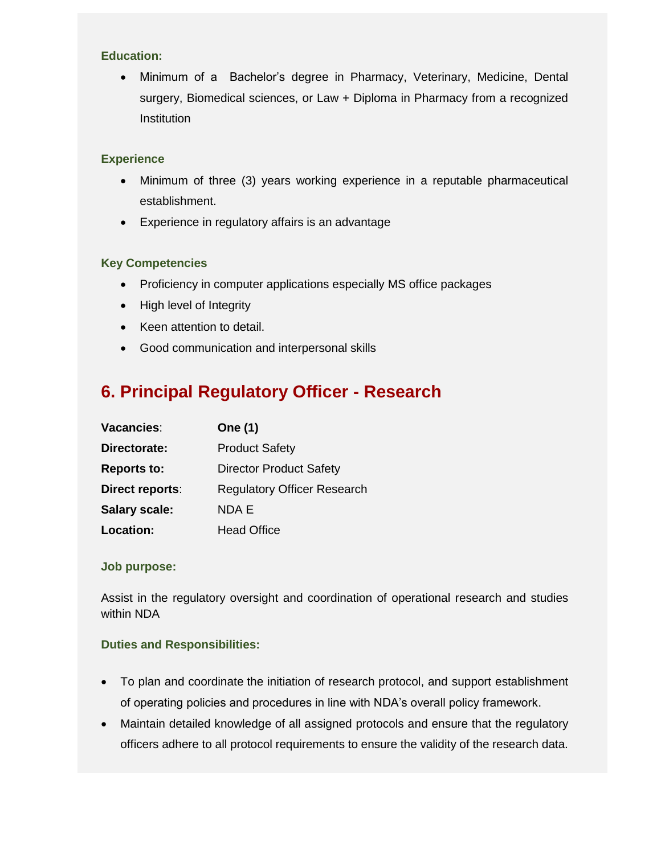Minimum of a Bachelor's degree in Pharmacy, Veterinary, Medicine, Dental surgery, Biomedical sciences, or Law + Diploma in Pharmacy from a recognized **Institution** 

#### **Experience**

- Minimum of three (3) years working experience in a reputable pharmaceutical establishment.
- Experience in regulatory affairs is an advantage

### **Key Competencies**

- Proficiency in computer applications especially MS office packages
- High level of Integrity
- Keen attention to detail.
- Good communication and interpersonal skills

# **6. Principal Regulatory Officer - Research**

| Vacancies:             | One (1)                            |
|------------------------|------------------------------------|
| Directorate:           | <b>Product Safety</b>              |
| <b>Reports to:</b>     | <b>Director Product Safety</b>     |
| <b>Direct reports:</b> | <b>Regulatory Officer Research</b> |
| <b>Salary scale:</b>   | NDA E                              |
| Location:              | <b>Head Office</b>                 |

### **Job purpose:**

Assist in the regulatory oversight and coordination of operational research and studies within NDA

- To plan and coordinate the initiation of research protocol, and support establishment of operating policies and procedures in line with NDA's overall policy framework.
- Maintain detailed knowledge of all assigned protocols and ensure that the regulatory officers adhere to all protocol requirements to ensure the validity of the research data.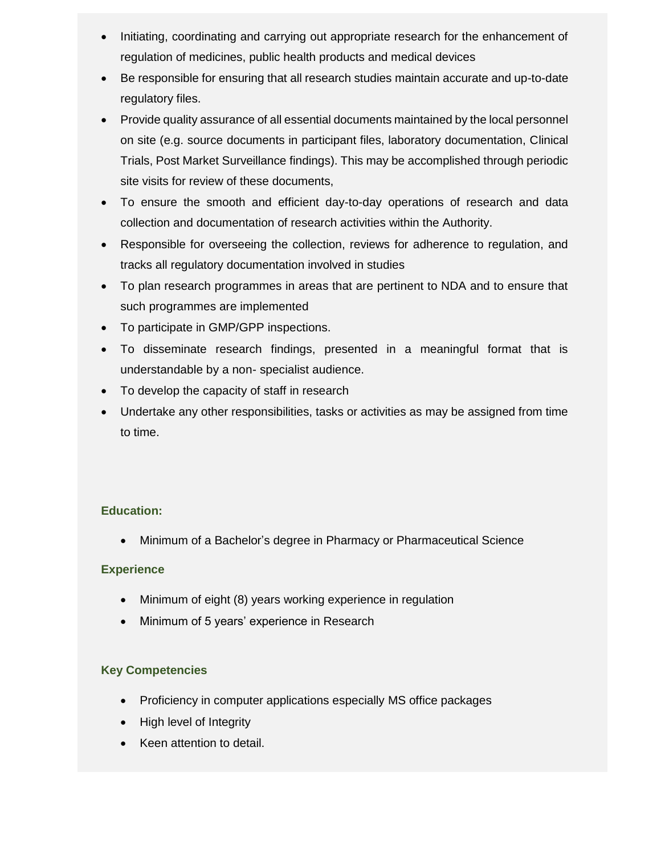- Initiating, coordinating and carrying out appropriate research for the enhancement of regulation of medicines, public health products and medical devices
- Be responsible for ensuring that all research studies maintain accurate and up-to-date regulatory files.
- Provide quality assurance of all essential documents maintained by the local personnel on site (e.g. source documents in participant files, laboratory documentation, Clinical Trials, Post Market Surveillance findings). This may be accomplished through periodic site visits for review of these documents,
- To ensure the smooth and efficient day-to-day operations of research and data collection and documentation of research activities within the Authority.
- Responsible for overseeing the collection, reviews for adherence to regulation, and tracks all regulatory documentation involved in studies
- To plan research programmes in areas that are pertinent to NDA and to ensure that such programmes are implemented
- To participate in GMP/GPP inspections.
- To disseminate research findings, presented in a meaningful format that is understandable by a non- specialist audience.
- To develop the capacity of staff in research
- Undertake any other responsibilities, tasks or activities as may be assigned from time to time.

Minimum of a Bachelor's degree in Pharmacy or Pharmaceutical Science

### **Experience**

- Minimum of eight (8) years working experience in regulation
- Minimum of 5 years' experience in Research

### **Key Competencies**

- Proficiency in computer applications especially MS office packages
- High level of Integrity
- Keen attention to detail.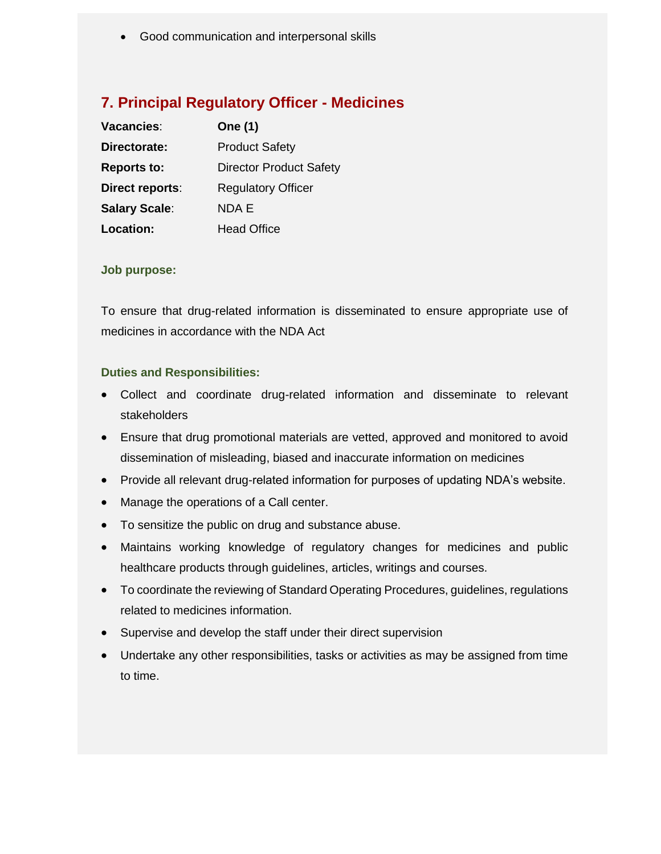Good communication and interpersonal skills

## **7. Principal Regulatory Officer - Medicines**

| Vacancies:             | <b>One (1)</b>                 |
|------------------------|--------------------------------|
| Directorate:           | <b>Product Safety</b>          |
| <b>Reports to:</b>     | <b>Director Product Safety</b> |
| <b>Direct reports:</b> | <b>Regulatory Officer</b>      |
| <b>Salary Scale:</b>   | NDA F                          |
| <b>Location:</b>       | <b>Head Office</b>             |

### **Job purpose:**

To ensure that drug-related information is disseminated to ensure appropriate use of medicines in accordance with the NDA Act

- Collect and coordinate drug-related information and disseminate to relevant stakeholders
- Ensure that drug promotional materials are vetted, approved and monitored to avoid dissemination of misleading, biased and inaccurate information on medicines
- Provide all relevant drug-related information for purposes of updating NDA's website.
- Manage the operations of a Call center.
- To sensitize the public on drug and substance abuse.
- Maintains working knowledge of regulatory changes for medicines and public healthcare products through guidelines, articles, writings and courses.
- To coordinate the reviewing of Standard Operating Procedures, guidelines, regulations related to medicines information.
- Supervise and develop the staff under their direct supervision
- Undertake any other responsibilities, tasks or activities as may be assigned from time to time.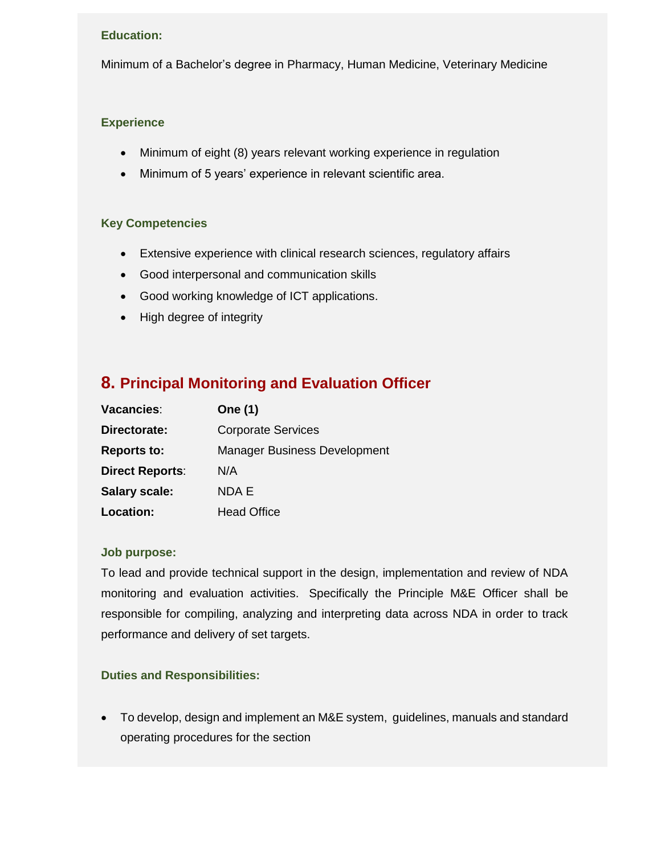Minimum of a Bachelor's degree in Pharmacy, Human Medicine, Veterinary Medicine

#### **Experience**

- Minimum of eight (8) years relevant working experience in regulation
- Minimum of 5 years' experience in relevant scientific area.

#### **Key Competencies**

- Extensive experience with clinical research sciences, regulatory affairs
- Good interpersonal and communication skills
- Good working knowledge of ICT applications.
- High degree of integrity

## **8. Principal Monitoring and Evaluation Officer**

| Vacancies:             | One (1)                             |
|------------------------|-------------------------------------|
| Directorate:           | <b>Corporate Services</b>           |
| <b>Reports to:</b>     | <b>Manager Business Development</b> |
| <b>Direct Reports:</b> | N/A                                 |
| <b>Salary scale:</b>   | NDA E                               |
| <b>Location:</b>       | <b>Head Office</b>                  |

#### **Job purpose:**

To lead and provide technical support in the design, implementation and review of NDA monitoring and evaluation activities. Specifically the Principle M&E Officer shall be responsible for compiling, analyzing and interpreting data across NDA in order to track performance and delivery of set targets.

### **Duties and Responsibilities:**

 To develop, design and implement an M&E system, guidelines, manuals and standard operating procedures for the section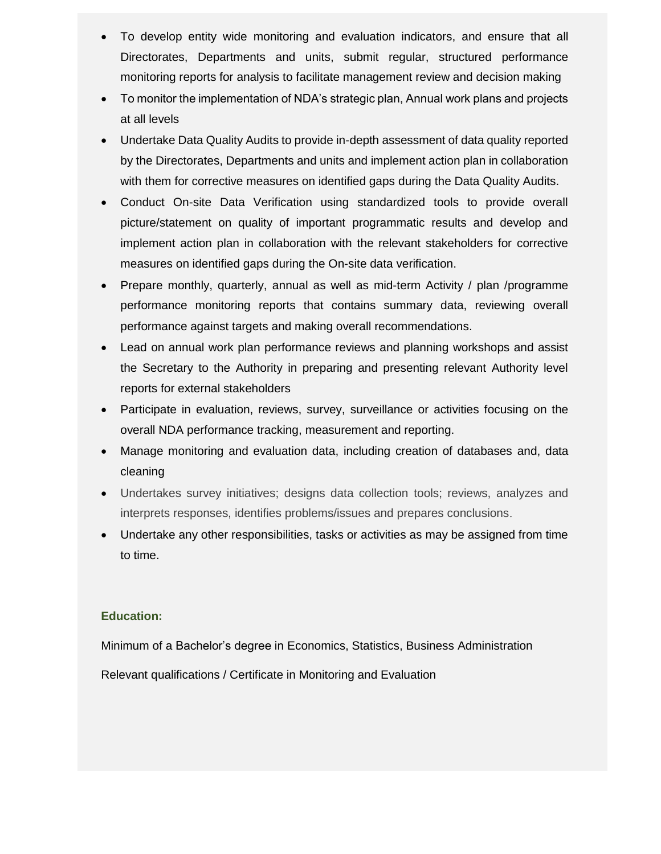- To develop entity wide monitoring and evaluation indicators, and ensure that all Directorates, Departments and units, submit regular, structured performance monitoring reports for analysis to facilitate management review and decision making
- To monitor the implementation of NDA's strategic plan, Annual work plans and projects at all levels
- Undertake Data Quality Audits to provide in-depth assessment of data quality reported by the Directorates, Departments and units and implement action plan in collaboration with them for corrective measures on identified gaps during the Data Quality Audits.
- Conduct On-site Data Verification using standardized tools to provide overall picture/statement on quality of important programmatic results and develop and implement action plan in collaboration with the relevant stakeholders for corrective measures on identified gaps during the On-site data verification.
- Prepare monthly, quarterly, annual as well as mid-term Activity / plan /programme performance monitoring reports that contains summary data, reviewing overall performance against targets and making overall recommendations.
- Lead on annual work plan performance reviews and planning workshops and assist the Secretary to the Authority in preparing and presenting relevant Authority level reports for external stakeholders
- Participate in evaluation, reviews, survey, surveillance or activities focusing on the overall NDA performance tracking, measurement and reporting.
- Manage monitoring and evaluation data, including creation of databases and, data cleaning
- Undertakes survey initiatives; designs data collection tools; reviews, analyzes and interprets responses, identifies problems/issues and prepares conclusions.
- Undertake any other responsibilities, tasks or activities as may be assigned from time to time.

Minimum of a Bachelor's degree in Economics, Statistics, Business Administration Relevant qualifications / Certificate in Monitoring and Evaluation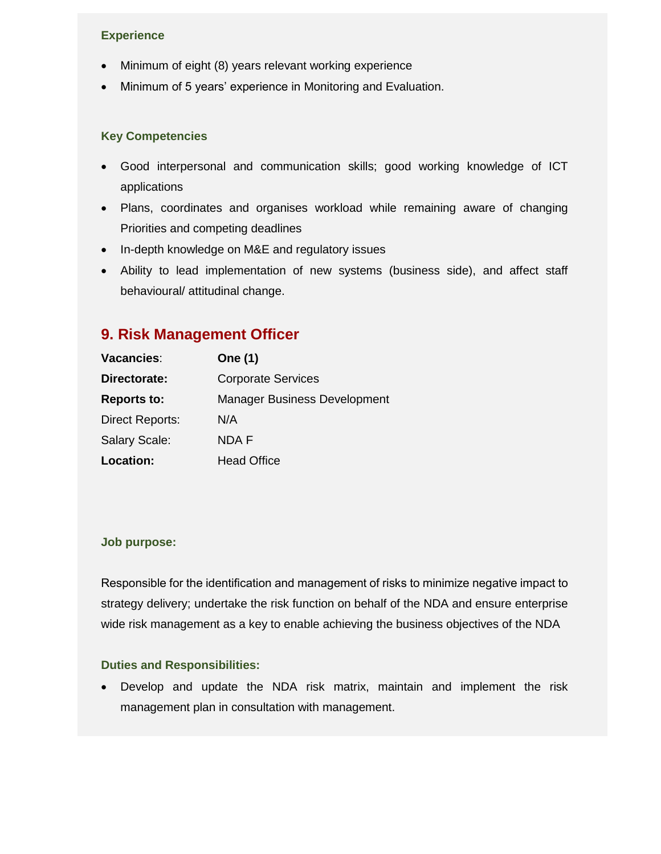### **Experience**

- Minimum of eight (8) years relevant working experience
- Minimum of 5 years' experience in Monitoring and Evaluation.

#### **Key Competencies**

- Good interpersonal and communication skills; good working knowledge of ICT applications
- Plans, coordinates and organises workload while remaining aware of changing Priorities and competing deadlines
- In-depth knowledge on M&E and regulatory issues
- Ability to lead implementation of new systems (business side), and affect staff behavioural/ attitudinal change.

## **9. Risk Management Officer**

| Vacancies:             | One (1)                             |
|------------------------|-------------------------------------|
| Directorate:           | <b>Corporate Services</b>           |
| <b>Reports to:</b>     | <b>Manager Business Development</b> |
| <b>Direct Reports:</b> | N/A                                 |
| <b>Salary Scale:</b>   | <b>NDAF</b>                         |
| <b>Location:</b>       | <b>Head Office</b>                  |

#### **Job purpose:**

Responsible for the identification and management of risks to minimize negative impact to strategy delivery; undertake the risk function on behalf of the NDA and ensure enterprise wide risk management as a key to enable achieving the business objectives of the NDA

#### **Duties and Responsibilities:**

 Develop and update the NDA risk matrix, maintain and implement the risk management plan in consultation with management.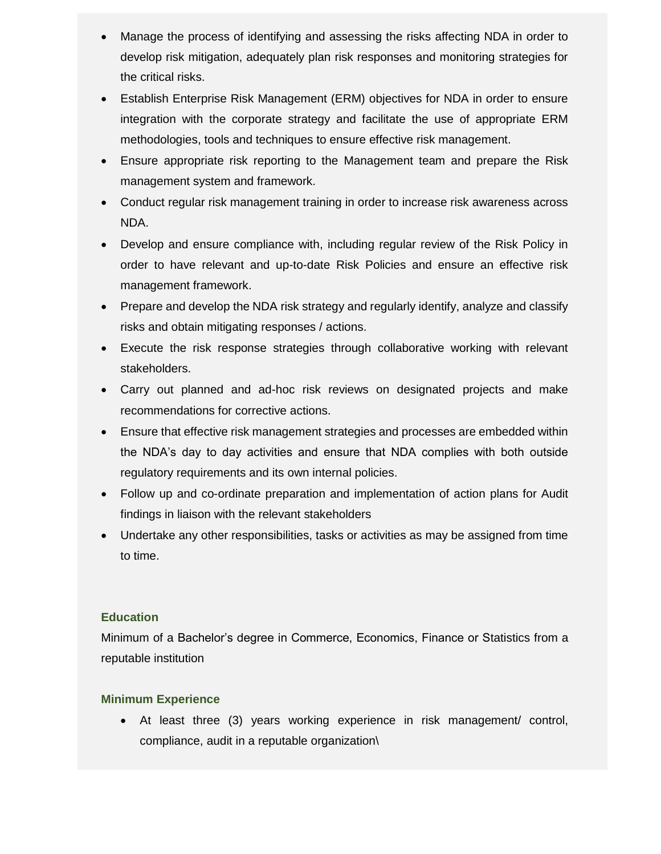- Manage the process of identifying and assessing the risks affecting NDA in order to develop risk mitigation, adequately plan risk responses and monitoring strategies for the critical risks.
- Establish Enterprise Risk Management (ERM) objectives for NDA in order to ensure integration with the corporate strategy and facilitate the use of appropriate ERM methodologies, tools and techniques to ensure effective risk management.
- Ensure appropriate risk reporting to the Management team and prepare the Risk management system and framework.
- Conduct regular risk management training in order to increase risk awareness across NDA.
- Develop and ensure compliance with, including regular review of the Risk Policy in order to have relevant and up-to-date Risk Policies and ensure an effective risk management framework.
- Prepare and develop the NDA risk strategy and regularly identify, analyze and classify risks and obtain mitigating responses / actions.
- Execute the risk response strategies through collaborative working with relevant stakeholders.
- Carry out planned and ad-hoc risk reviews on designated projects and make recommendations for corrective actions.
- Ensure that effective risk management strategies and processes are embedded within the NDA's day to day activities and ensure that NDA complies with both outside regulatory requirements and its own internal policies.
- Follow up and co-ordinate preparation and implementation of action plans for Audit findings in liaison with the relevant stakeholders
- Undertake any other responsibilities, tasks or activities as may be assigned from time to time.

Minimum of a Bachelor's degree in Commerce, Economics, Finance or Statistics from a reputable institution

### **Minimum Experience**

 At least three (3) years working experience in risk management/ control, compliance, audit in a reputable organization\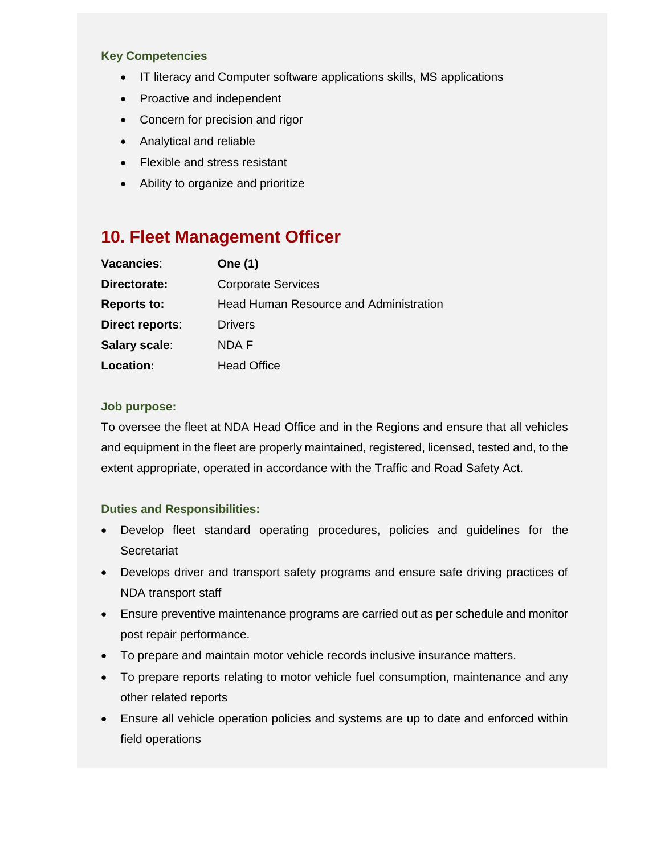#### **Key Competencies**

- IT literacy and Computer software applications skills, MS applications
- Proactive and independent
- Concern for precision and rigor
- Analytical and reliable
- Flexible and stress resistant
- Ability to organize and prioritize

# **10. Fleet Management Officer**

| Vacancies:         | <b>One (1)</b>                         |
|--------------------|----------------------------------------|
| Directorate:       | <b>Corporate Services</b>              |
| <b>Reports to:</b> | Head Human Resource and Administration |
| Direct reports:    | Drivers                                |
| Salary scale:      | NDA F                                  |
| Location:          | <b>Head Office</b>                     |

### **Job purpose:**

To oversee the fleet at NDA Head Office and in the Regions and ensure that all vehicles and equipment in the fleet are properly maintained, registered, licensed, tested and, to the extent appropriate, operated in accordance with the Traffic and Road Safety Act.

- Develop fleet standard operating procedures, policies and guidelines for the **Secretariat**
- Develops driver and transport safety programs and ensure safe driving practices of NDA transport staff
- Ensure preventive maintenance programs are carried out as per schedule and monitor post repair performance.
- To prepare and maintain motor vehicle records inclusive insurance matters.
- To prepare reports relating to motor vehicle fuel consumption, maintenance and any other related reports
- Ensure all vehicle operation policies and systems are up to date and enforced within field operations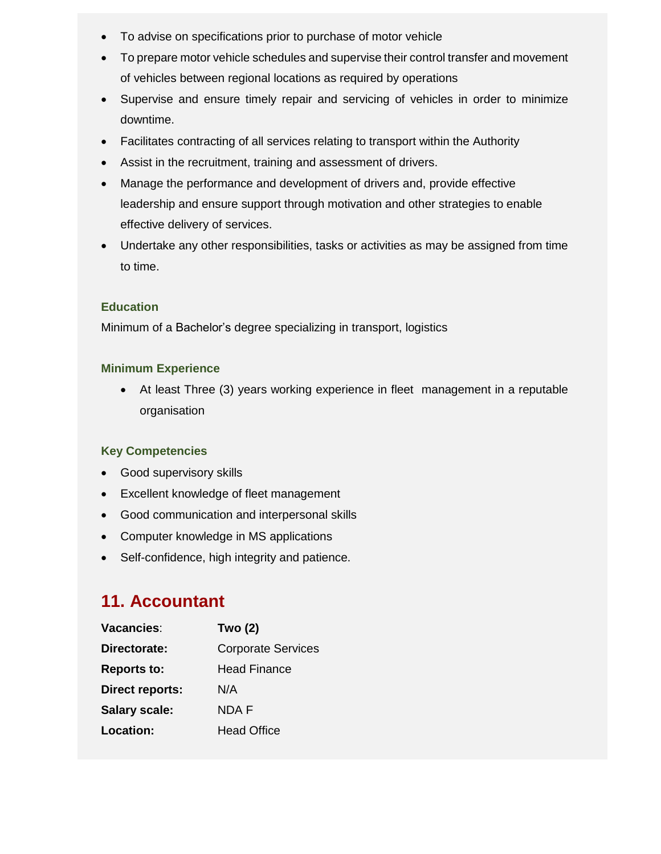- To advise on specifications prior to purchase of motor vehicle
- To prepare motor vehicle schedules and supervise their control transfer and movement of vehicles between regional locations as required by operations
- Supervise and ensure timely repair and servicing of vehicles in order to minimize downtime.
- Facilitates contracting of all services relating to transport within the Authority
- Assist in the recruitment, training and assessment of drivers.
- Manage the performance and development of drivers and, provide effective leadership and ensure support through motivation and other strategies to enable effective delivery of services.
- Undertake any other responsibilities, tasks or activities as may be assigned from time to time.

Minimum of a Bachelor's degree specializing in transport, logistics

### **Minimum Experience**

 At least Three (3) years working experience in fleet management in a reputable organisation

### **Key Competencies**

- Good supervisory skills
- Excellent knowledge of fleet management
- Good communication and interpersonal skills
- Computer knowledge in MS applications
- Self-confidence, high integrity and patience.

# **11. Accountant**

| Vacancies:             | <b>Two (2)</b>            |
|------------------------|---------------------------|
| Directorate:           | <b>Corporate Services</b> |
| <b>Reports to:</b>     | <b>Head Finance</b>       |
| <b>Direct reports:</b> | N/A                       |
| <b>Salary scale:</b>   | <b>NDAF</b>               |
| Location:              | <b>Head Office</b>        |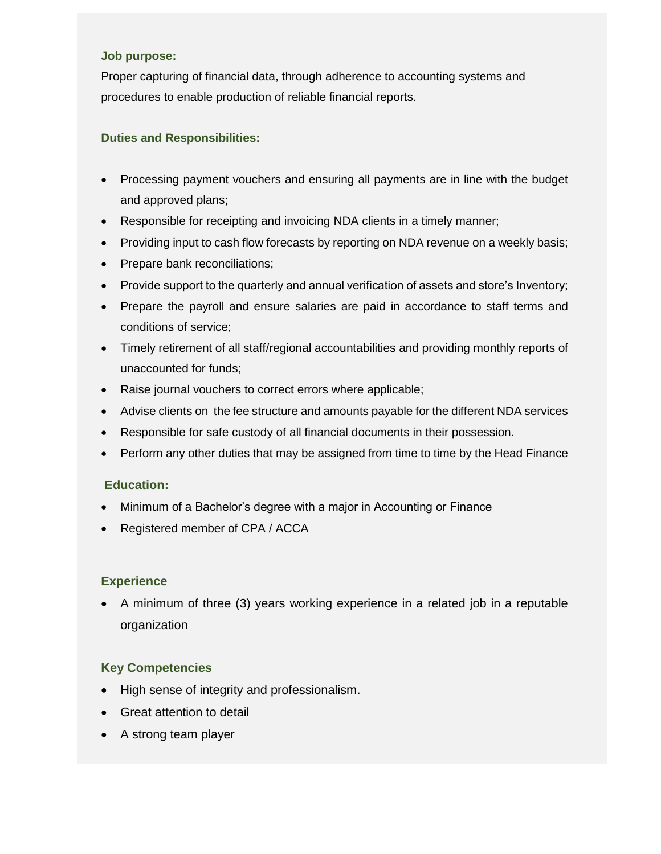#### **Job purpose:**

Proper capturing of financial data, through adherence to accounting systems and procedures to enable production of reliable financial reports.

### **Duties and Responsibilities:**

- Processing payment vouchers and ensuring all payments are in line with the budget and approved plans;
- Responsible for receipting and invoicing NDA clients in a timely manner;
- Providing input to cash flow forecasts by reporting on NDA revenue on a weekly basis;
- Prepare bank reconciliations;
- Provide support to the quarterly and annual verification of assets and store's Inventory;
- Prepare the payroll and ensure salaries are paid in accordance to staff terms and conditions of service;
- Timely retirement of all staff/regional accountabilities and providing monthly reports of unaccounted for funds;
- Raise journal vouchers to correct errors where applicable;
- Advise clients on the fee structure and amounts payable for the different NDA services
- Responsible for safe custody of all financial documents in their possession.
- Perform any other duties that may be assigned from time to time by the Head Finance

#### **Education:**

- Minimum of a Bachelor's degree with a major in Accounting or Finance
- Registered member of CPA / ACCA

### **Experience**

 A minimum of three (3) years working experience in a related job in a reputable organization

### **Key Competencies**

- High sense of integrity and professionalism.
- Great attention to detail
- A strong team player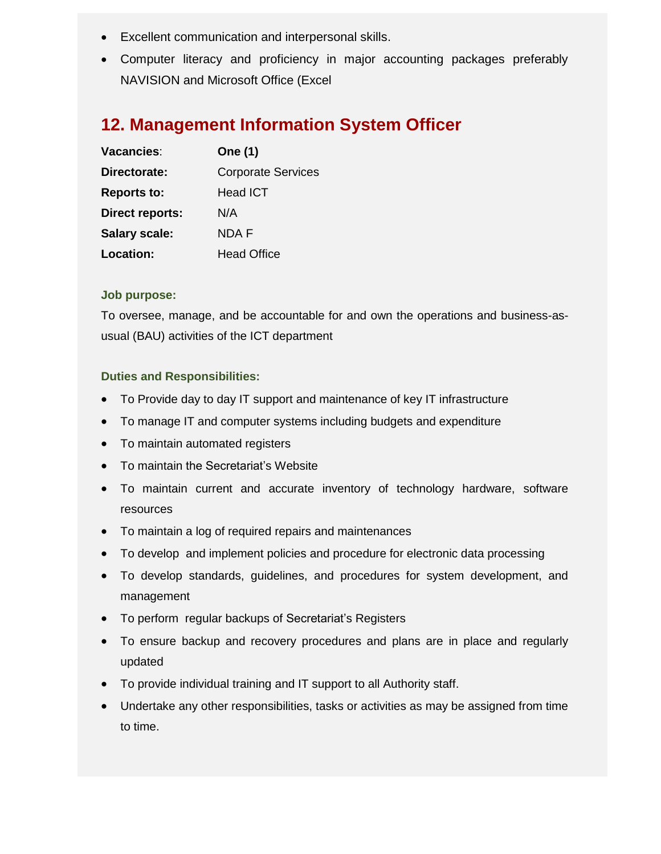- Excellent communication and interpersonal skills.
- Computer literacy and proficiency in major accounting packages preferably NAVISION and Microsoft Office (Excel

# **12. Management Information System Officer**

| Vacancies:             | One (1)                   |
|------------------------|---------------------------|
| Directorate:           | <b>Corporate Services</b> |
| <b>Reports to:</b>     | <b>Head ICT</b>           |
| <b>Direct reports:</b> | N/A                       |
| <b>Salary scale:</b>   | <b>NDAF</b>               |
| Location:              | <b>Head Office</b>        |

### **Job purpose:**

To oversee, manage, and be accountable for and own the operations and business-asusual (BAU) activities of the ICT department

- To Provide day to day IT support and maintenance of key IT infrastructure
- To manage IT and computer systems including budgets and expenditure
- To maintain automated registers
- To maintain the Secretariat's Website
- To maintain current and accurate inventory of technology hardware, software resources
- To maintain a log of required repairs and maintenances
- To develop and implement policies and procedure for electronic data processing
- To develop standards, guidelines, and procedures for system development, and management
- To perform regular backups of Secretariat's Registers
- To ensure backup and recovery procedures and plans are in place and regularly updated
- To provide individual training and IT support to all Authority staff.
- Undertake any other responsibilities, tasks or activities as may be assigned from time to time.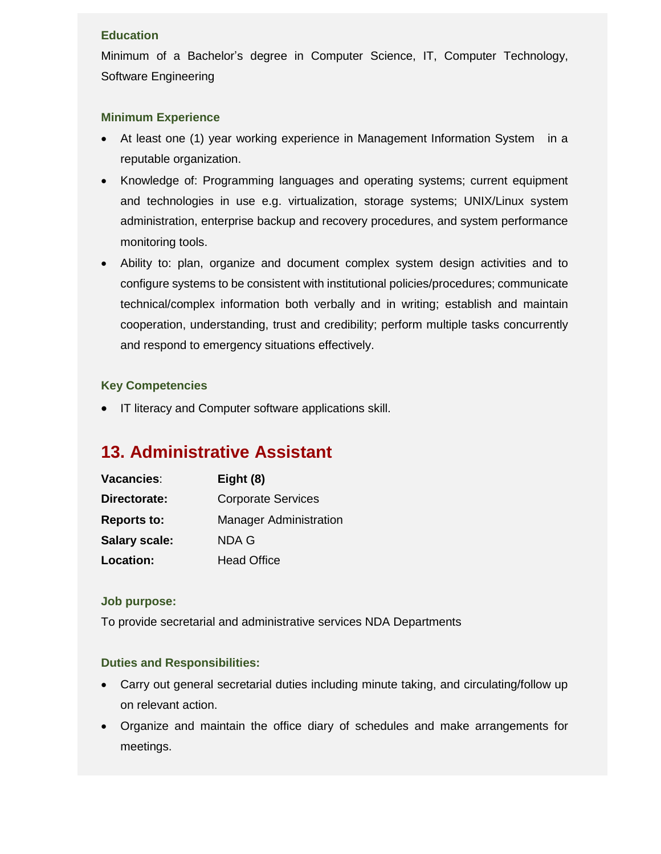Minimum of a Bachelor's degree in Computer Science, IT, Computer Technology, Software Engineering

### **Minimum Experience**

- At least one (1) year working experience in Management Information System in a reputable organization.
- Knowledge of: Programming languages and operating systems; current equipment and technologies in use e.g. virtualization, storage systems; UNIX/Linux system administration, enterprise backup and recovery procedures, and system performance monitoring tools.
- Ability to: plan, organize and document complex system design activities and to configure systems to be consistent with institutional policies/procedures; communicate technical/complex information both verbally and in writing; establish and maintain cooperation, understanding, trust and credibility; perform multiple tasks concurrently and respond to emergency situations effectively.

### **Key Competencies**

**IF literacy and Computer software applications skill.** 

# **13. Administrative Assistant**

| Vacancies:           | Eight (8)                     |
|----------------------|-------------------------------|
| Directorate:         | <b>Corporate Services</b>     |
| <b>Reports to:</b>   | <b>Manager Administration</b> |
| <b>Salary scale:</b> | NDA G                         |
| Location:            | <b>Head Office</b>            |

### **Job purpose:**

To provide secretarial and administrative services NDA Departments

- Carry out general secretarial duties including minute taking, and circulating/follow up on relevant action.
- Organize and maintain the office diary of schedules and make arrangements for meetings.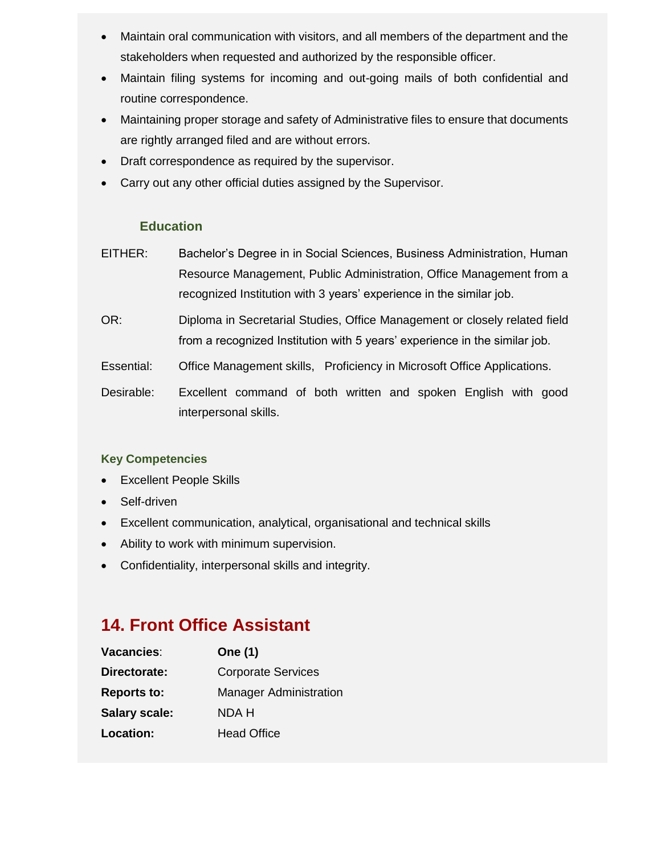- Maintain oral communication with visitors, and all members of the department and the stakeholders when requested and authorized by the responsible officer.
- Maintain filing systems for incoming and out-going mails of both confidential and routine correspondence.
- Maintaining proper storage and safety of Administrative files to ensure that documents are rightly arranged filed and are without errors.
- Draft correspondence as required by the supervisor.
- Carry out any other official duties assigned by the Supervisor.

- EITHER: Bachelor's Degree in in Social Sciences, Business Administration, Human Resource Management, Public Administration, Office Management from a recognized Institution with 3 years' experience in the similar job.
- OR: Diploma in Secretarial Studies, Office Management or closely related field from a recognized Institution with 5 years' experience in the similar job.
- Essential: Office Management skills, Proficiency in Microsoft Office Applications.
- Desirable: Excellent command of both written and spoken English with good interpersonal skills.

### **Key Competencies**

- Excellent People Skills
- Self-driven
- Excellent communication, analytical, organisational and technical skills
- Ability to work with minimum supervision.
- Confidentiality, interpersonal skills and integrity.

# **14. Front Office Assistant**

| Vacancies:           | One (1)                       |
|----------------------|-------------------------------|
| Directorate:         | <b>Corporate Services</b>     |
| <b>Reports to:</b>   | <b>Manager Administration</b> |
| <b>Salary scale:</b> | NDA H                         |
| Location:            | <b>Head Office</b>            |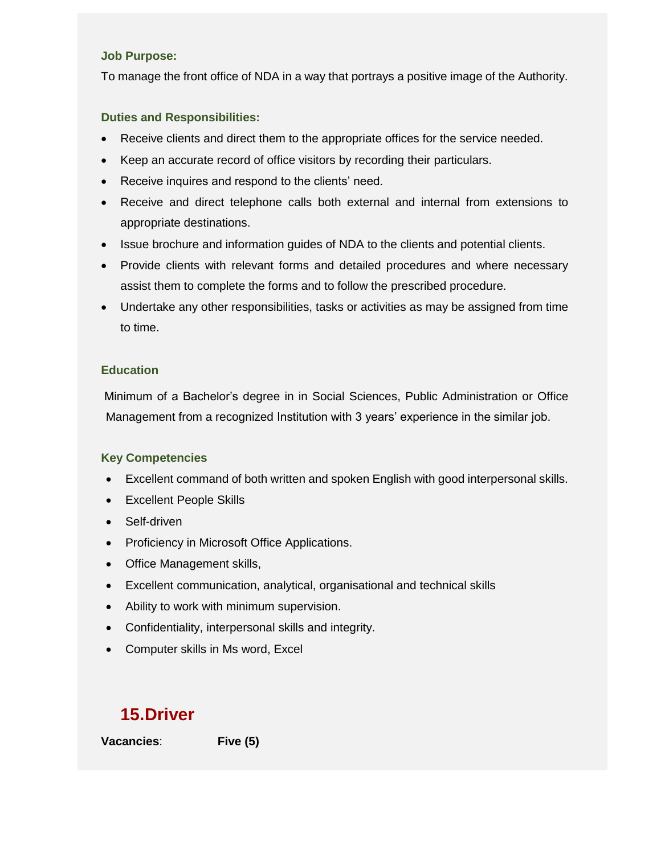#### **Job Purpose:**

To manage the front office of NDA in a way that portrays a positive image of the Authority.

### **Duties and Responsibilities:**

- Receive clients and direct them to the appropriate offices for the service needed.
- Keep an accurate record of office visitors by recording their particulars.
- Receive inquires and respond to the clients' need.
- Receive and direct telephone calls both external and internal from extensions to appropriate destinations.
- Issue brochure and information guides of NDA to the clients and potential clients.
- Provide clients with relevant forms and detailed procedures and where necessary assist them to complete the forms and to follow the prescribed procedure.
- Undertake any other responsibilities, tasks or activities as may be assigned from time to time.

### **Education**

Minimum of a Bachelor's degree in in Social Sciences, Public Administration or Office Management from a recognized Institution with 3 years' experience in the similar job.

### **Key Competencies**

- Excellent command of both written and spoken English with good interpersonal skills.
- Excellent People Skills
- Self-driven
- Proficiency in Microsoft Office Applications.
- Office Management skills,
- Excellent communication, analytical, organisational and technical skills
- Ability to work with minimum supervision.
- Confidentiality, interpersonal skills and integrity.
- Computer skills in Ms word, Excel

# **15.Driver**

**Vacancies**: **Five (5)**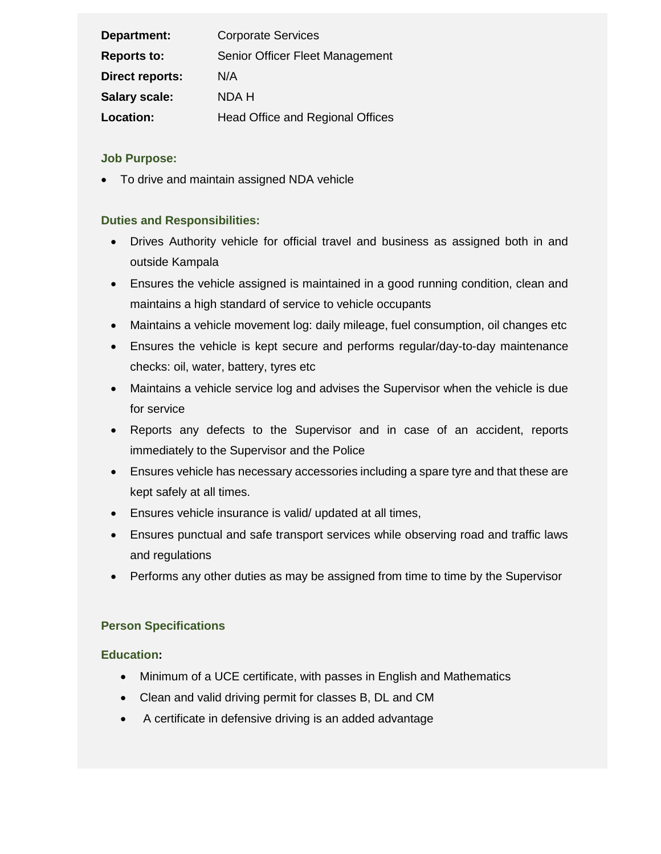| Department:            | <b>Corporate Services</b>               |
|------------------------|-----------------------------------------|
| <b>Reports to:</b>     | Senior Officer Fleet Management         |
| <b>Direct reports:</b> | N/A                                     |
| <b>Salary scale:</b>   | NDA H                                   |
| Location:              | <b>Head Office and Regional Offices</b> |

### **Job Purpose:**

To drive and maintain assigned NDA vehicle

### **Duties and Responsibilities:**

- Drives Authority vehicle for official travel and business as assigned both in and outside Kampala
- Ensures the vehicle assigned is maintained in a good running condition, clean and maintains a high standard of service to vehicle occupants
- Maintains a vehicle movement log: daily mileage, fuel consumption, oil changes etc
- Ensures the vehicle is kept secure and performs regular/day-to-day maintenance checks: oil, water, battery, tyres etc
- Maintains a vehicle service log and advises the Supervisor when the vehicle is due for service
- Reports any defects to the Supervisor and in case of an accident, reports immediately to the Supervisor and the Police
- Ensures vehicle has necessary accessories including a spare tyre and that these are kept safely at all times.
- Ensures vehicle insurance is valid/ updated at all times,
- Ensures punctual and safe transport services while observing road and traffic laws and regulations
- Performs any other duties as may be assigned from time to time by the Supervisor

### **Person Specifications**

### **Education:**

- Minimum of a UCE certificate, with passes in English and Mathematics
- Clean and valid driving permit for classes B, DL and CM
- A certificate in defensive driving is an added advantage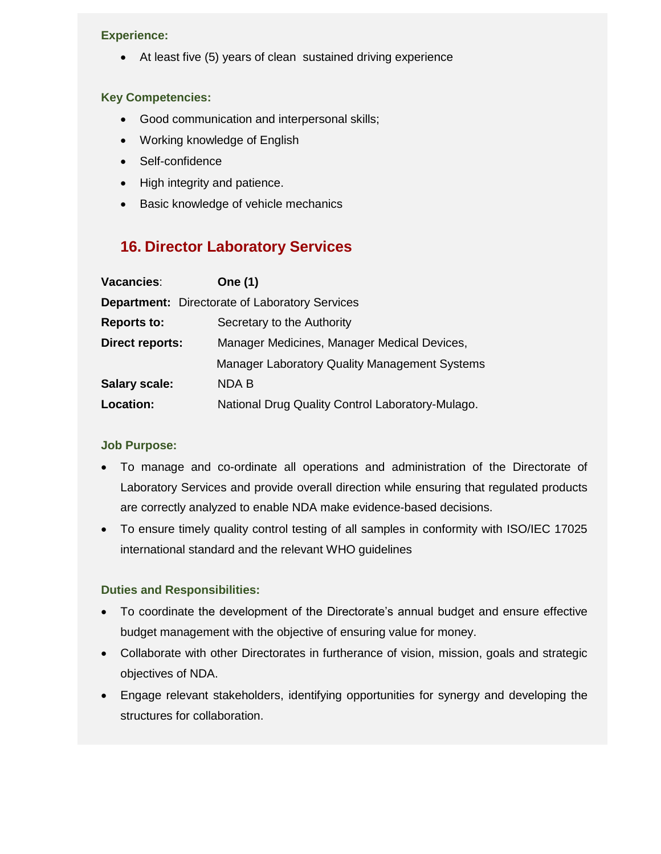#### **Experience:**

• At least five (5) years of clean sustained driving experience

### **Key Competencies:**

- Good communication and interpersonal skills;
- Working knowledge of English
- Self-confidence
- High integrity and patience.
- Basic knowledge of vehicle mechanics

# **16. Director Laboratory Services**

| Vacancies:             | <b>One (1)</b>                                        |
|------------------------|-------------------------------------------------------|
|                        | <b>Department:</b> Directorate of Laboratory Services |
| <b>Reports to:</b>     | Secretary to the Authority                            |
| <b>Direct reports:</b> | Manager Medicines, Manager Medical Devices,           |
|                        | <b>Manager Laboratory Quality Management Systems</b>  |
| <b>Salary scale:</b>   | <b>NDA B</b>                                          |
| Location:              | National Drug Quality Control Laboratory-Mulago.      |

### **Job Purpose:**

- To manage and co-ordinate all operations and administration of the Directorate of Laboratory Services and provide overall direction while ensuring that regulated products are correctly analyzed to enable NDA make evidence-based decisions.
- To ensure timely quality control testing of all samples in conformity with ISO/IEC 17025 international standard and the relevant WHO guidelines

- To coordinate the development of the Directorate's annual budget and ensure effective budget management with the objective of ensuring value for money.
- Collaborate with other Directorates in furtherance of vision, mission, goals and strategic objectives of NDA.
- Engage relevant stakeholders, identifying opportunities for synergy and developing the structures for collaboration.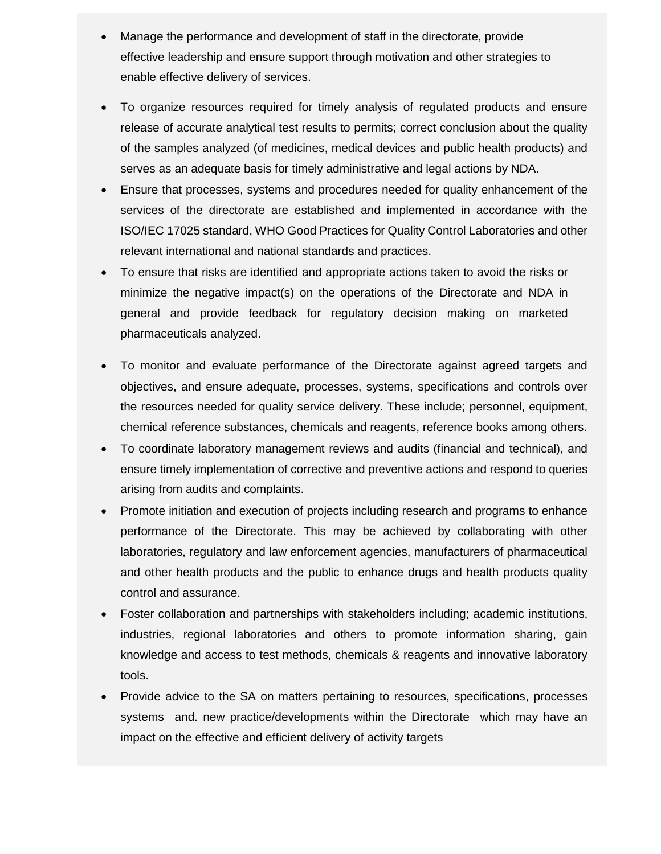- Manage the performance and development of staff in the directorate, provide effective leadership and ensure support through motivation and other strategies to enable effective delivery of services.
- To organize resources required for timely analysis of regulated products and ensure release of accurate analytical test results to permits; correct conclusion about the quality of the samples analyzed (of medicines, medical devices and public health products) and serves as an adequate basis for timely administrative and legal actions by NDA.
- Ensure that processes, systems and procedures needed for quality enhancement of the services of the directorate are established and implemented in accordance with the ISO/IEC 17025 standard, WHO Good Practices for Quality Control Laboratories and other relevant international and national standards and practices.
- To ensure that risks are identified and appropriate actions taken to avoid the risks or minimize the negative impact(s) on the operations of the Directorate and NDA in general and provide feedback for regulatory decision making on marketed pharmaceuticals analyzed.
- To monitor and evaluate performance of the Directorate against agreed targets and objectives, and ensure adequate, processes, systems, specifications and controls over the resources needed for quality service delivery. These include; personnel, equipment, chemical reference substances, chemicals and reagents, reference books among others.
- To coordinate laboratory management reviews and audits (financial and technical), and ensure timely implementation of corrective and preventive actions and respond to queries arising from audits and complaints.
- Promote initiation and execution of projects including research and programs to enhance performance of the Directorate. This may be achieved by collaborating with other laboratories, regulatory and law enforcement agencies, manufacturers of pharmaceutical and other health products and the public to enhance drugs and health products quality control and assurance.
- Foster collaboration and partnerships with stakeholders including; academic institutions, industries, regional laboratories and others to promote information sharing, gain knowledge and access to test methods, chemicals & reagents and innovative laboratory tools.
- Provide advice to the SA on matters pertaining to resources, specifications, processes systems and. new practice/developments within the Directorate which may have an impact on the effective and efficient delivery of activity targets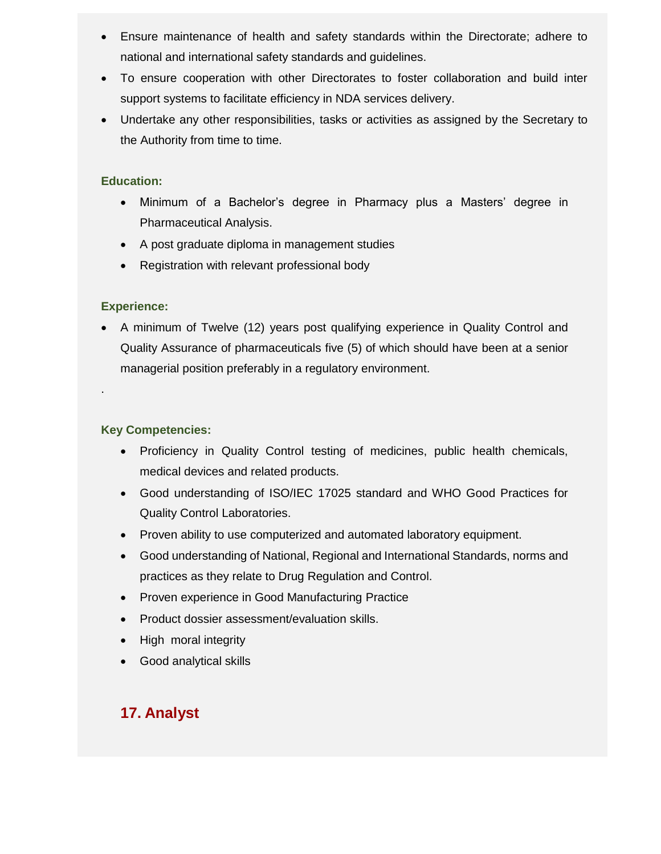- Ensure maintenance of health and safety standards within the Directorate; adhere to national and international safety standards and guidelines.
- To ensure cooperation with other Directorates to foster collaboration and build inter support systems to facilitate efficiency in NDA services delivery.
- Undertake any other responsibilities, tasks or activities as assigned by the Secretary to the Authority from time to time.

- Minimum of a Bachelor's degree in Pharmacy plus a Masters' degree in Pharmaceutical Analysis.
- A post graduate diploma in management studies
- Registration with relevant professional body

### **Experience:**

.

 A minimum of Twelve (12) years post qualifying experience in Quality Control and Quality Assurance of pharmaceuticals five (5) of which should have been at a senior managerial position preferably in a regulatory environment.

### **Key Competencies:**

- Proficiency in Quality Control testing of medicines, public health chemicals, medical devices and related products.
- Good understanding of ISO/IEC 17025 standard and WHO Good Practices for Quality Control Laboratories.
- Proven ability to use computerized and automated laboratory equipment.
- Good understanding of National, Regional and International Standards, norms and practices as they relate to Drug Regulation and Control.
- Proven experience in Good Manufacturing Practice
- Product dossier assessment/evaluation skills.
- High moral integrity
- Good analytical skills

# **17. Analyst**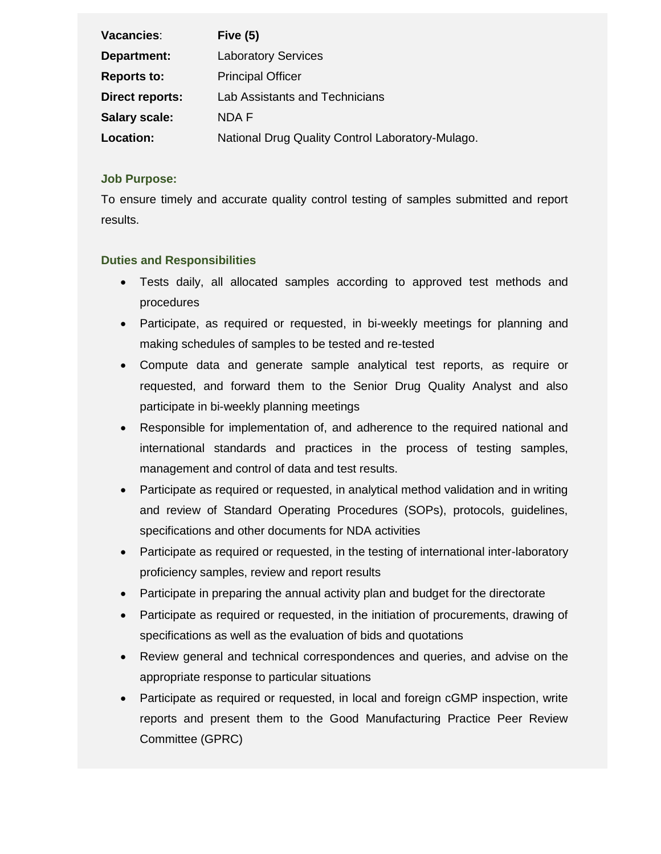| Vacancies:             | Five $(5)$                                       |
|------------------------|--------------------------------------------------|
| Department:            | <b>Laboratory Services</b>                       |
| <b>Reports to:</b>     | <b>Principal Officer</b>                         |
| <b>Direct reports:</b> | Lab Assistants and Technicians                   |
| <b>Salary scale:</b>   | NDA F                                            |
| Location:              | National Drug Quality Control Laboratory-Mulago. |

### **Job Purpose:**

To ensure timely and accurate quality control testing of samples submitted and report results.

- Tests daily, all allocated samples according to approved test methods and procedures
- Participate, as required or requested, in bi-weekly meetings for planning and making schedules of samples to be tested and re-tested
- Compute data and generate sample analytical test reports, as require or requested, and forward them to the Senior Drug Quality Analyst and also participate in bi-weekly planning meetings
- Responsible for implementation of, and adherence to the required national and international standards and practices in the process of testing samples, management and control of data and test results.
- Participate as required or requested, in analytical method validation and in writing and review of Standard Operating Procedures (SOPs), protocols, guidelines, specifications and other documents for NDA activities
- Participate as required or requested, in the testing of international inter-laboratory proficiency samples, review and report results
- Participate in preparing the annual activity plan and budget for the directorate
- Participate as required or requested, in the initiation of procurements, drawing of specifications as well as the evaluation of bids and quotations
- Review general and technical correspondences and queries, and advise on the appropriate response to particular situations
- Participate as required or requested, in local and foreign cGMP inspection, write reports and present them to the Good Manufacturing Practice Peer Review Committee (GPRC)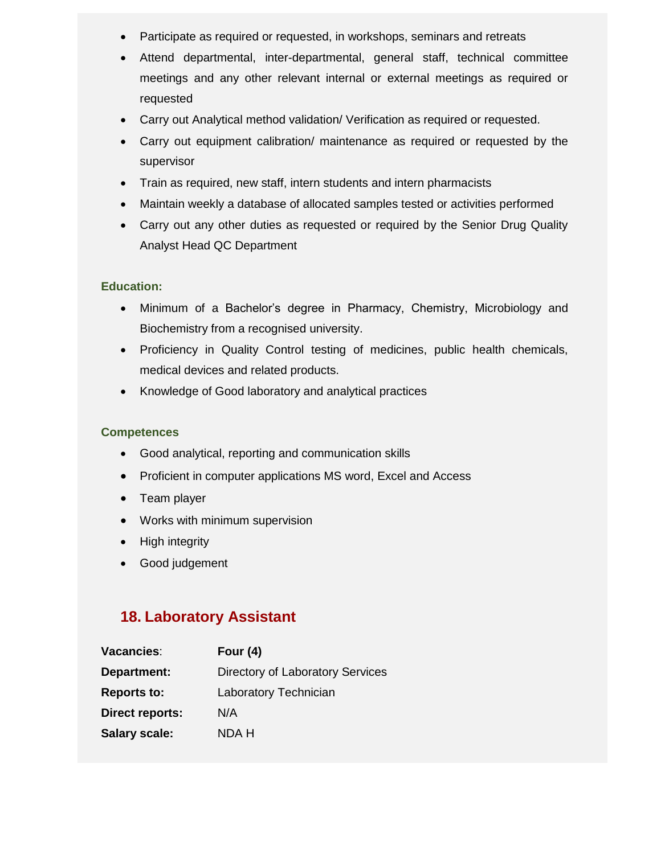- Participate as required or requested, in workshops, seminars and retreats
- Attend departmental, inter-departmental, general staff, technical committee meetings and any other relevant internal or external meetings as required or requested
- Carry out Analytical method validation/ Verification as required or requested.
- Carry out equipment calibration/ maintenance as required or requested by the supervisor
- Train as required, new staff, intern students and intern pharmacists
- Maintain weekly a database of allocated samples tested or activities performed
- Carry out any other duties as requested or required by the Senior Drug Quality Analyst Head QC Department

- Minimum of a Bachelor's degree in Pharmacy, Chemistry, Microbiology and Biochemistry from a recognised university.
- Proficiency in Quality Control testing of medicines, public health chemicals, medical devices and related products.
- Knowledge of Good laboratory and analytical practices

### **Competences**

- Good analytical, reporting and communication skills
- Proficient in computer applications MS word, Excel and Access
- Team player
- Works with minimum supervision
- High integrity
- Good judgement

## **18. Laboratory Assistant**

| Vacancies:             | Four $(4)$                       |
|------------------------|----------------------------------|
| Department:            | Directory of Laboratory Services |
| <b>Reports to:</b>     | Laboratory Technician            |
| <b>Direct reports:</b> | N/A                              |
| <b>Salary scale:</b>   | NDA H                            |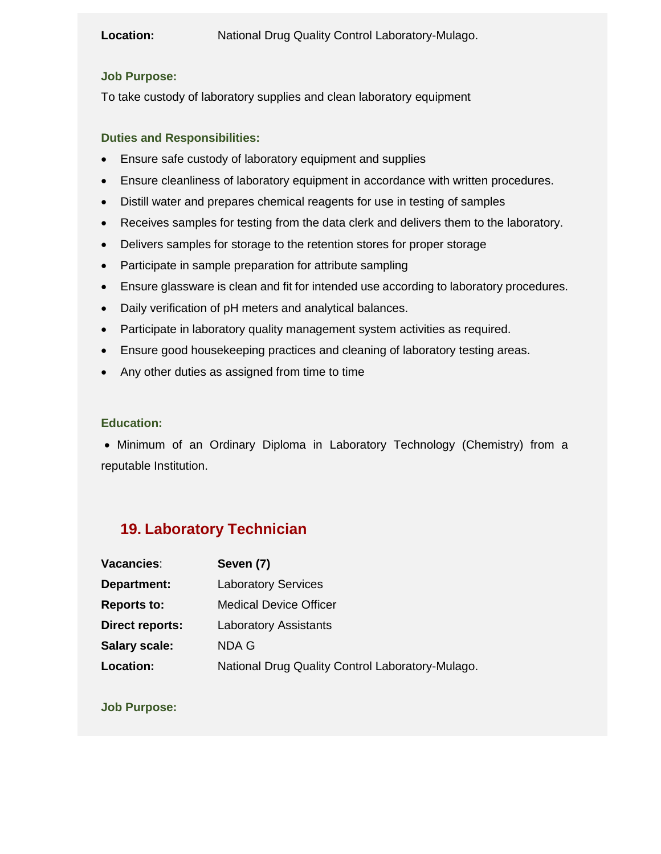### **Location:** National Drug Quality Control Laboratory-Mulago.

### **Job Purpose:**

To take custody of laboratory supplies and clean laboratory equipment

### **Duties and Responsibilities:**

- Ensure safe custody of laboratory equipment and supplies
- Ensure cleanliness of laboratory equipment in accordance with written procedures.
- Distill water and prepares chemical reagents for use in testing of samples
- Receives samples for testing from the data clerk and delivers them to the laboratory.
- Delivers samples for storage to the retention stores for proper storage
- Participate in sample preparation for attribute sampling
- Ensure glassware is clean and fit for intended use according to laboratory procedures.
- Daily verification of pH meters and analytical balances.
- Participate in laboratory quality management system activities as required.
- Ensure good housekeeping practices and cleaning of laboratory testing areas.
- Any other duties as assigned from time to time

#### **Education:**

• Minimum of an Ordinary Diploma in Laboratory Technology (Chemistry) from a reputable Institution.

# **19. Laboratory Technician**

| Vacancies:             | Seven (7)                                        |
|------------------------|--------------------------------------------------|
| Department:            | <b>Laboratory Services</b>                       |
| <b>Reports to:</b>     | <b>Medical Device Officer</b>                    |
| <b>Direct reports:</b> | <b>Laboratory Assistants</b>                     |
| <b>Salary scale:</b>   | NDA G                                            |
| Location:              | National Drug Quality Control Laboratory-Mulago. |

**Job Purpose:**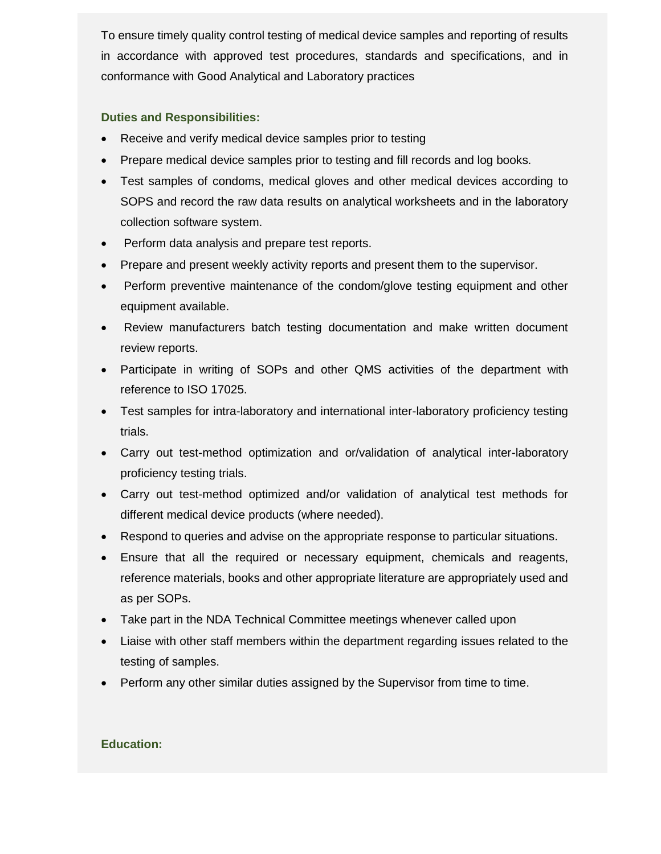To ensure timely quality control testing of medical device samples and reporting of results in accordance with approved test procedures, standards and specifications, and in conformance with Good Analytical and Laboratory practices

### **Duties and Responsibilities:**

- Receive and verify medical device samples prior to testing
- Prepare medical device samples prior to testing and fill records and log books.
- Test samples of condoms, medical gloves and other medical devices according to SOPS and record the raw data results on analytical worksheets and in the laboratory collection software system.
- Perform data analysis and prepare test reports.
- Prepare and present weekly activity reports and present them to the supervisor.
- Perform preventive maintenance of the condom/glove testing equipment and other equipment available.
- Review manufacturers batch testing documentation and make written document review reports.
- Participate in writing of SOPs and other QMS activities of the department with reference to ISO 17025.
- Test samples for intra-laboratory and international inter-laboratory proficiency testing trials.
- Carry out test-method optimization and or/validation of analytical inter-laboratory proficiency testing trials.
- Carry out test-method optimized and/or validation of analytical test methods for different medical device products (where needed).
- Respond to queries and advise on the appropriate response to particular situations.
- Ensure that all the required or necessary equipment, chemicals and reagents, reference materials, books and other appropriate literature are appropriately used and as per SOPs.
- Take part in the NDA Technical Committee meetings whenever called upon
- Liaise with other staff members within the department regarding issues related to the testing of samples.
- Perform any other similar duties assigned by the Supervisor from time to time.

### **Education:**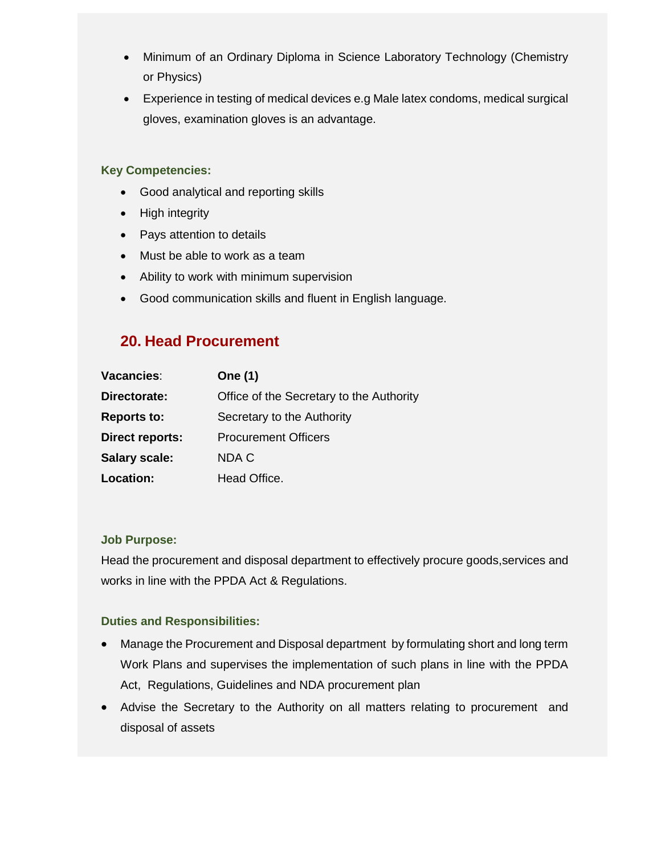- Minimum of an Ordinary Diploma in Science Laboratory Technology (Chemistry or Physics)
- Experience in testing of medical devices e.g Male latex condoms, medical surgical gloves, examination gloves is an advantage.

### **Key Competencies:**

- Good analytical and reporting skills
- High integrity
- Pays attention to details
- Must be able to work as a team
- Ability to work with minimum supervision
- Good communication skills and fluent in English language.

## **20. Head Procurement**

| Vacancies:             | <b>One (1)</b>                           |
|------------------------|------------------------------------------|
| Directorate:           | Office of the Secretary to the Authority |
| <b>Reports to:</b>     | Secretary to the Authority               |
| <b>Direct reports:</b> | <b>Procurement Officers</b>              |
| <b>Salary scale:</b>   | NDA C                                    |
| Location:              | Head Office.                             |

### **Job Purpose:**

Head the procurement and disposal department to effectively procure goods,services and works in line with the PPDA Act & Regulations.

- Manage the Procurement and Disposal department by formulating short and long term Work Plans and supervises the implementation of such plans in line with the PPDA Act, Regulations, Guidelines and NDA procurement plan
- Advise the Secretary to the Authority on all matters relating to procurement and disposal of assets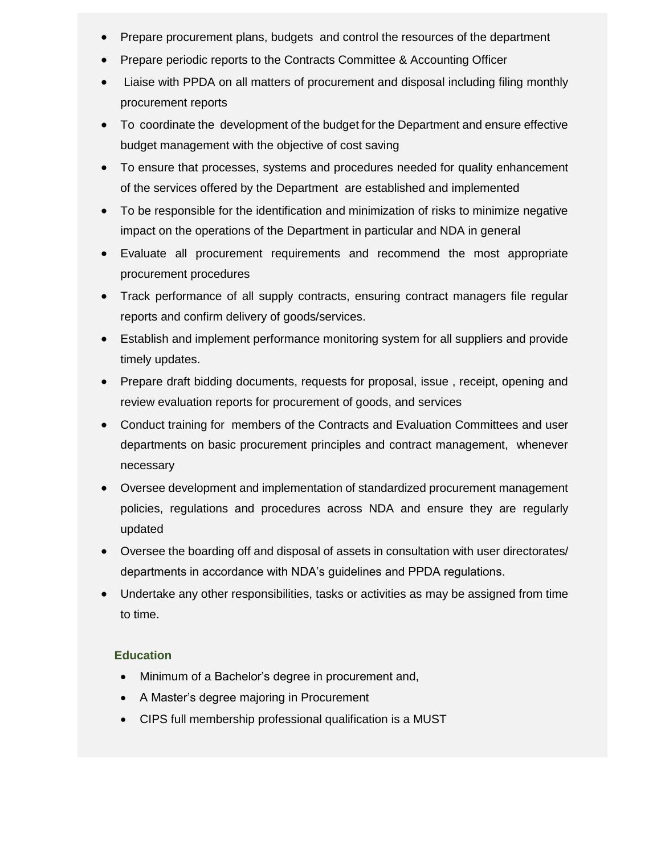- Prepare procurement plans, budgets and control the resources of the department
- Prepare periodic reports to the Contracts Committee & Accounting Officer
- Liaise with PPDA on all matters of procurement and disposal including filing monthly procurement reports
- To coordinate the development of the budget for the Department and ensure effective budget management with the objective of cost saving
- To ensure that processes, systems and procedures needed for quality enhancement of the services offered by the Department are established and implemented
- To be responsible for the identification and minimization of risks to minimize negative impact on the operations of the Department in particular and NDA in general
- Evaluate all procurement requirements and recommend the most appropriate procurement procedures
- Track performance of all supply contracts, ensuring contract managers file regular reports and confirm delivery of goods/services.
- Establish and implement performance monitoring system for all suppliers and provide timely updates.
- Prepare draft bidding documents, requests for proposal, issue, receipt, opening and review evaluation reports for procurement of goods, and services
- Conduct training for members of the Contracts and Evaluation Committees and user departments on basic procurement principles and contract management, whenever necessary
- Oversee development and implementation of standardized procurement management policies, regulations and procedures across NDA and ensure they are regularly updated
- Oversee the boarding off and disposal of assets in consultation with user directorates/ departments in accordance with NDA's guidelines and PPDA regulations.
- Undertake any other responsibilities, tasks or activities as may be assigned from time to time.

- Minimum of a Bachelor's degree in procurement and,
- A Master's degree majoring in Procurement
- CIPS full membership professional qualification is a MUST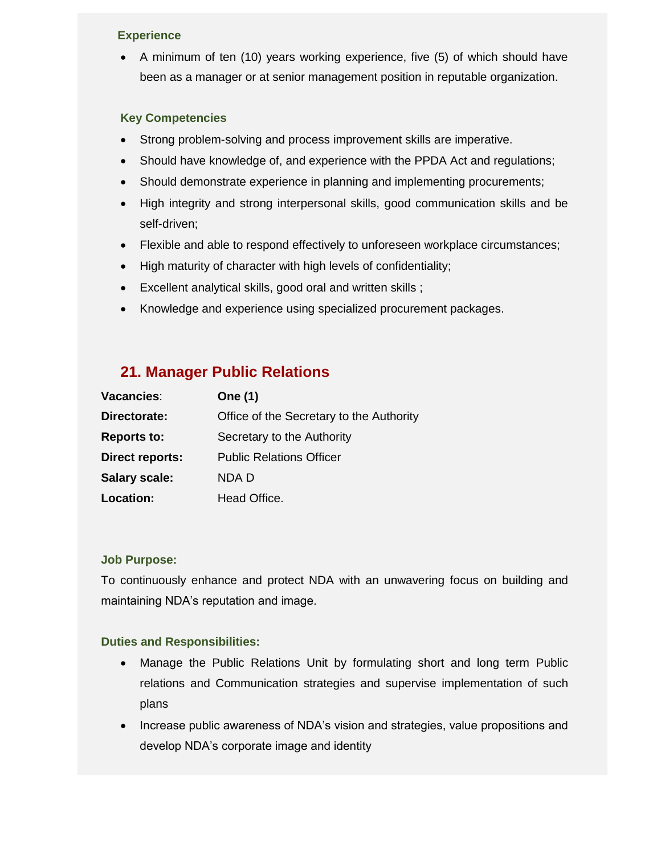### **Experience**

 A minimum of ten (10) years working experience, five (5) of which should have been as a manager or at senior management position in reputable organization.

### **Key Competencies**

- Strong problem-solving and process improvement skills are imperative.
- Should have knowledge of, and experience with the PPDA Act and regulations;
- Should demonstrate experience in planning and implementing procurements;
- High integrity and strong interpersonal skills, good communication skills and be self-driven;
- Flexible and able to respond effectively to unforeseen workplace circumstances;
- High maturity of character with high levels of confidentiality;
- Excellent analytical skills, good oral and written skills ;
- Knowledge and experience using specialized procurement packages.

## **21. Manager Public Relations**

| Vacancies:             | <b>One (1)</b>                           |
|------------------------|------------------------------------------|
| Directorate:           | Office of the Secretary to the Authority |
| <b>Reports to:</b>     | Secretary to the Authority               |
| <b>Direct reports:</b> | <b>Public Relations Officer</b>          |
| <b>Salary scale:</b>   | NDA D                                    |
| <b>Location:</b>       | Head Office.                             |

### **Job Purpose:**

To continuously enhance and protect NDA with an unwavering focus on building and maintaining NDA's reputation and image.

- Manage the Public Relations Unit by formulating short and long term Public relations and Communication strategies and supervise implementation of such plans
- Increase public awareness of NDA's vision and strategies, value propositions and develop NDA's corporate image and identity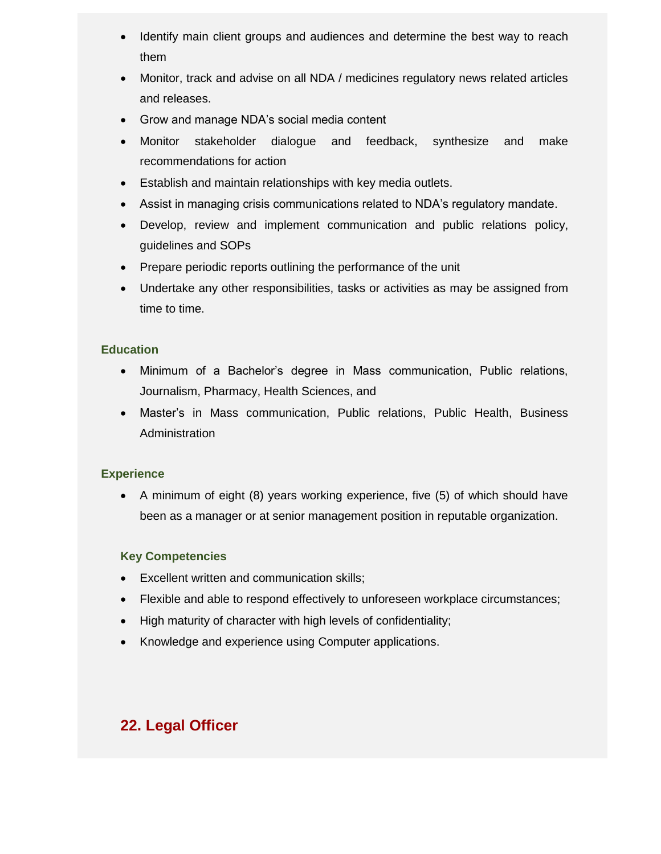- Identify main client groups and audiences and determine the best way to reach them
- Monitor, track and advise on all NDA / medicines regulatory news related articles and releases.
- Grow and manage NDA's social media content
- Monitor stakeholder dialogue and feedback, synthesize and make recommendations for action
- Establish and maintain relationships with key media outlets.
- Assist in managing crisis communications related to NDA's regulatory mandate.
- Develop, review and implement communication and public relations policy, guidelines and SOPs
- Prepare periodic reports outlining the performance of the unit
- Undertake any other responsibilities, tasks or activities as may be assigned from time to time.

- Minimum of a Bachelor's degree in Mass communication, Public relations, Journalism, Pharmacy, Health Sciences, and
- Master's in Mass communication, Public relations, Public Health, Business Administration

### **Experience**

 A minimum of eight (8) years working experience, five (5) of which should have been as a manager or at senior management position in reputable organization.

### **Key Competencies**

- Excellent written and communication skills;
- Flexible and able to respond effectively to unforeseen workplace circumstances;
- High maturity of character with high levels of confidentiality;
- Knowledge and experience using Computer applications.

# **22. Legal Officer**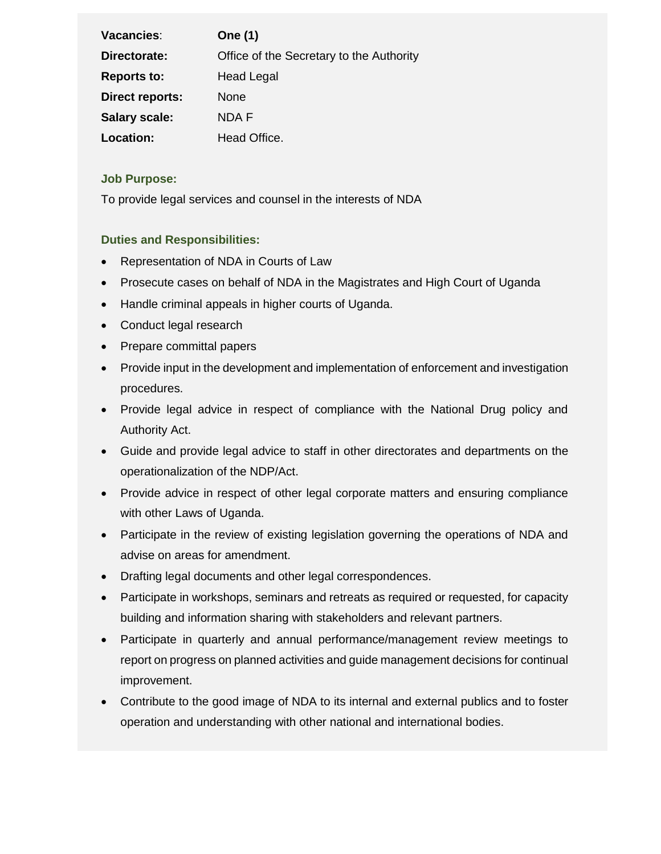| Vacancies:             | <b>One (1)</b>                           |
|------------------------|------------------------------------------|
| Directorate:           | Office of the Secretary to the Authority |
| <b>Reports to:</b>     | <b>Head Legal</b>                        |
| <b>Direct reports:</b> | None                                     |
| <b>Salary scale:</b>   | NDA F                                    |
| Location:              | Head Office.                             |

### **Job Purpose:**

To provide legal services and counsel in the interests of NDA

- Representation of NDA in Courts of Law
- Prosecute cases on behalf of NDA in the Magistrates and High Court of Uganda
- Handle criminal appeals in higher courts of Uganda.
- Conduct legal research
- Prepare committal papers
- Provide input in the development and implementation of enforcement and investigation procedures.
- Provide legal advice in respect of compliance with the National Drug policy and Authority Act.
- Guide and provide legal advice to staff in other directorates and departments on the operationalization of the NDP/Act.
- Provide advice in respect of other legal corporate matters and ensuring compliance with other Laws of Uganda.
- Participate in the review of existing legislation governing the operations of NDA and advise on areas for amendment.
- Drafting legal documents and other legal correspondences.
- Participate in workshops, seminars and retreats as required or requested, for capacity building and information sharing with stakeholders and relevant partners.
- Participate in quarterly and annual performance/management review meetings to report on progress on planned activities and guide management decisions for continual improvement.
- Contribute to the good image of NDA to its internal and external publics and to foster operation and understanding with other national and international bodies.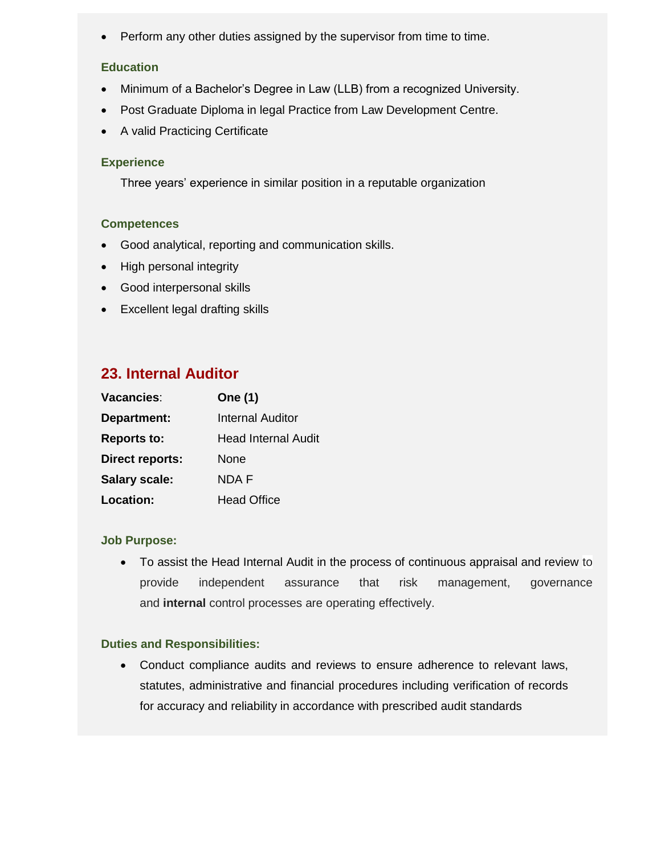• Perform any other duties assigned by the supervisor from time to time.

### **Education**

- Minimum of a Bachelor's Degree in Law (LLB) from a recognized University.
- Post Graduate Diploma in legal Practice from Law Development Centre.
- A valid Practicing Certificate

#### **Experience**

Three years' experience in similar position in a reputable organization

#### **Competences**

- Good analytical, reporting and communication skills.
- High personal integrity
- Good interpersonal skills
- Excellent legal drafting skills

## **23. Internal Auditor**

| Vacancies:             | <b>One (1)</b>             |
|------------------------|----------------------------|
| Department:            | <b>Internal Auditor</b>    |
| <b>Reports to:</b>     | <b>Head Internal Audit</b> |
| <b>Direct reports:</b> | None                       |
| <b>Salary scale:</b>   | NDA F                      |
| Location:              | <b>Head Office</b>         |

#### **Job Purpose:**

 To assist the Head Internal Audit in the process of continuous appraisal and review to provide independent assurance that risk management, governance and **internal** control processes are operating effectively.

#### **Duties and Responsibilities:**

 Conduct compliance audits and reviews to ensure adherence to relevant laws, statutes, administrative and financial procedures including verification of records for accuracy and reliability in accordance with prescribed audit standards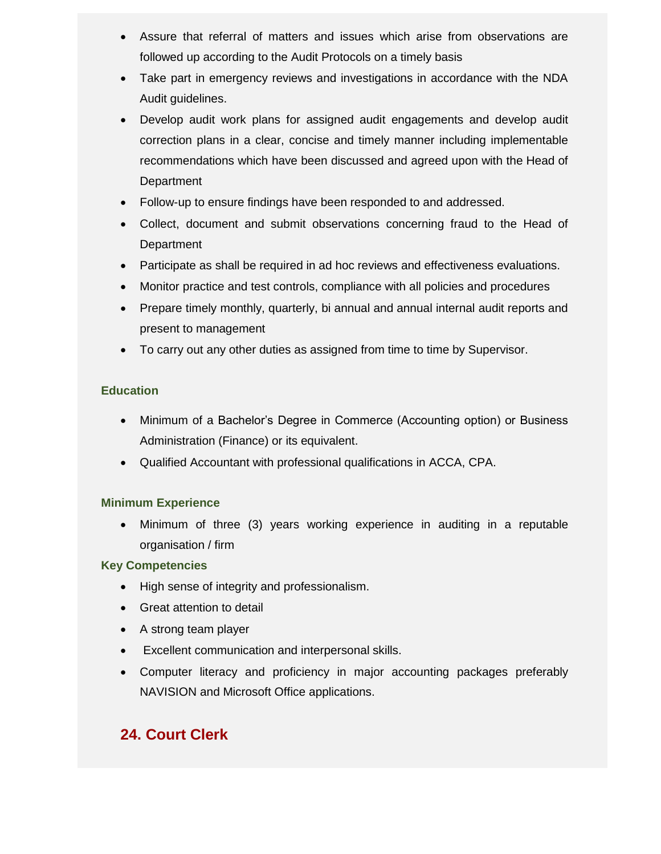- Assure that referral of matters and issues which arise from observations are followed up according to the Audit Protocols on a timely basis
- Take part in emergency reviews and investigations in accordance with the NDA Audit guidelines.
- Develop audit work plans for assigned audit engagements and develop audit correction plans in a clear, concise and timely manner including implementable recommendations which have been discussed and agreed upon with the Head of Department
- Follow-up to ensure findings have been responded to and addressed.
- Collect, document and submit observations concerning fraud to the Head of **Department**
- Participate as shall be required in ad hoc reviews and effectiveness evaluations.
- Monitor practice and test controls, compliance with all policies and procedures
- Prepare timely monthly, quarterly, bi annual and annual internal audit reports and present to management
- To carry out any other duties as assigned from time to time by Supervisor.

- Minimum of a Bachelor's Degree in Commerce (Accounting option) or Business Administration (Finance) or its equivalent.
- Qualified Accountant with professional qualifications in ACCA, CPA.

### **Minimum Experience**

 Minimum of three (3) years working experience in auditing in a reputable organisation / firm

### **Key Competencies**

- High sense of integrity and professionalism.
- Great attention to detail
- A strong team player
- Excellent communication and interpersonal skills.
- Computer literacy and proficiency in major accounting packages preferably NAVISION and Microsoft Office applications.

# **24. Court Clerk**